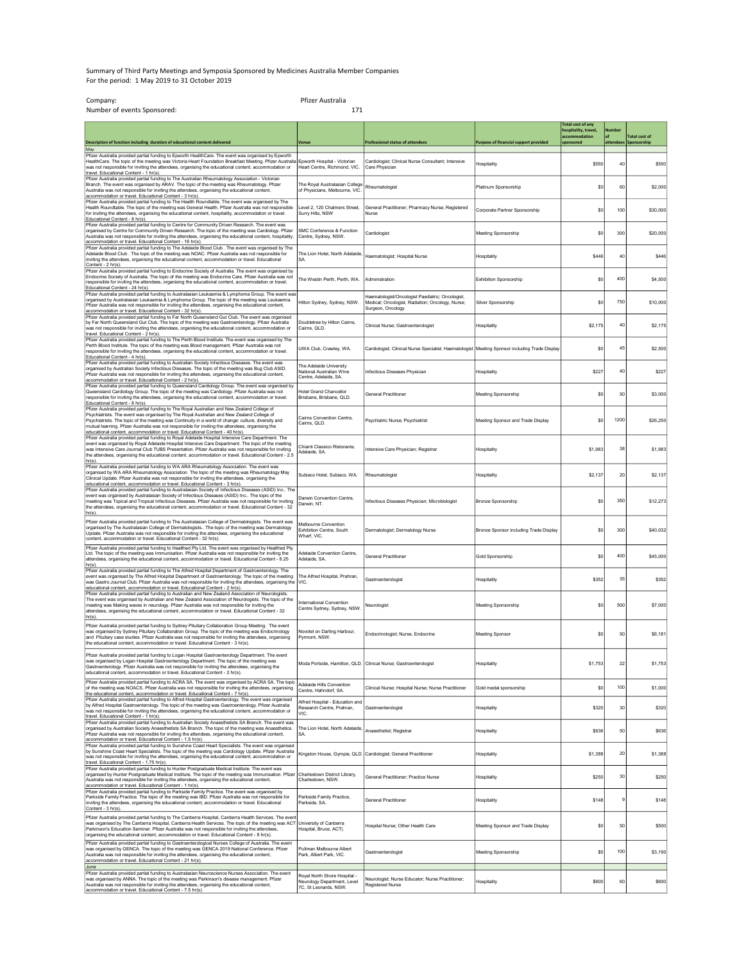## Summary of Third Party Meetings and Symposia Sponsored by Medicines Australia Member Companies For the period: 1 May 2019 to 31 October 2019

| Company:<br>Number of events Sponsored:                                                                                                                                                                                                                                                                                                                                                                                                                            | Pfizer Australia<br>171                                                              |                                                                                                                           |                                              |                                                                               |                     |                                     |
|--------------------------------------------------------------------------------------------------------------------------------------------------------------------------------------------------------------------------------------------------------------------------------------------------------------------------------------------------------------------------------------------------------------------------------------------------------------------|--------------------------------------------------------------------------------------|---------------------------------------------------------------------------------------------------------------------------|----------------------------------------------|-------------------------------------------------------------------------------|---------------------|-------------------------------------|
| Description of function including duration of educational content delivered                                                                                                                                                                                                                                                                                                                                                                                        | Venue                                                                                | <b>Professional status of attendees</b>                                                                                   | <b>Purpose of financial support provided</b> | <b>Total cost of any</b><br>hospitality, travel,<br>accommodation<br>ponsored | Number<br>attendees | <b>Fotal cost of</b><br>Sponsorship |
| May<br>Pfizer Australia provided partial funding to Epworth HealthCare. The event was organised by Epworth<br>HealthCare. The topic of the meeting was Victoria Heart Foundation Breakfast Meeting. Pfizer Australia<br>was not responsible for inviting the attendees, organising the educational content, accommodation or<br>travel. Educational Content - 1 hr(s).                                                                                             | Epworth Hospital - Victorian<br>Heart Centre, Richmond, VIC                          | Cardiologist; Clinical Nurse Consultant; Intensive<br>Care Physician                                                      | Hospitality                                  | \$550                                                                         | 40                  | \$550                               |
| Pfizer Australia provided partial funding to The Australian Rheumatology Association - Victorian<br>Branch. The event was organised by ARAV. The topic of the meeting was Rheumatology. Pfizer<br>Australia was not responsible for inviting the attendees, organising the educational content,<br>accommodation or travel. Educational Content - 3 hr(s).                                                                                                         | The Royal Australasian College<br>of Physicians, Melbourne, VIC.                     | Rheumatologist                                                                                                            | Platinum Sponsorship                         | \$0                                                                           | 60                  | \$2,000                             |
| Pfizer Australia provided partial funding to The Health Roundtable. The event was organised by The<br>Health Roundtable. The topic of the meeting was General Health. Pfizer Australia was not responsible<br>for inviting the attendees, organising the educational content, hospitality, accommodation or travel.<br>Educational Content - 8 hr(s).                                                                                                              | Level 2, 120 Chalmers Street,<br>Surry Hills, NSW                                    | General Practitioner; Pharmacy Nurse; Registered<br>Nurse                                                                 | Corporate Partner Sponsorship                | \$0                                                                           | 100                 | \$30,000                            |
| Pfizer Australia provided partial funding to Centre for Community Driven Research. The event was<br>organised by Centre for Community Driven Research. The topic of the meeting was Cardiology. Pfizer<br>Australia was not responsible for inviting the attendees, organising the educational content, hospitality,<br>accommodation or travel. Educational Content - 16 hr(s).                                                                                   | SMC Conference & Function<br>Centre, Sydney, NSW.                                    | Cardiologist                                                                                                              | Meeting Sponsorship                          | \$0                                                                           | 300                 | \$20,000                            |
| Pfizer Australia provided partial funding to The Adelaide Blood Club. The event was organised by The<br>Adelaide Blood Club. The topic of the meeting was NOAC. Pfizer Australia was not responsible for<br>inviting the attendees, organising the educational content, accommodation or travel. Educational<br>Content - 2 hr(s).                                                                                                                                 | The Lion Hotel, North Adelaide,<br>SA.                                               | Haematologist; Hospital Nurse                                                                                             | Hospitality                                  | S446                                                                          | 40                  | \$446                               |
| Pfizer Australia provided partial funding to Endocrine Society of Australia. The event was organised by<br>Endocrine Society of Australia. The topic of the meeting was Endocrine Care. Pfizer Australia was not<br>responsible for inviting the attendees, organising the educational content, accommodation or travel.<br>Educational Content - 24 hr(s).<br>Pfizer Australia provided partial funding to Australasian Leukaemia & Lymphoma Group. The event was | The Westin Perth, Perth, WA.                                                         | Administration                                                                                                            | <b>Exhibition Sponsorship</b>                | \$0                                                                           | 400                 | \$4,500                             |
| organised by Australasian Leukaemia & Lymphoma Group. The topic of the meeting was Leukaemia.<br>Pfizer Australia was not responsible for inviting the attendees, organising the educational content,<br>accommodation or travel. Educational Content - 32 hr(s).<br>Pfizer Australia provided partial funding to Far North Queensland Gut Club. The event was organised                                                                                           | Hilton Sydney, Sydney, NSW.                                                          | Haematologist/Oncologist Paediatric; Oncologist,<br>Medical; Oncologist, Radiation; Oncology, Nurse;<br>Surgeon, Oncology | Silver Sponsorship                           | \$0                                                                           | 750                 | \$10,000                            |
| by Far North Queensland Gut Club. The topic of the meeting was Gastroenterology. Pfizer Australia<br>was not responsible for inviting the attendees, organising the educational content, accommodation or<br>travel. Educational Content - 2 hr(s).<br>Pfizer Australia provided partial funding to The Perth Blood Institute. The event was organised by The                                                                                                      | Doubletree by Hilton Cairns,<br>Caims OLD                                            | Clinical Nurse; Gastroenterologist                                                                                        | Hospitality                                  | \$2,175                                                                       | 40                  | \$2,175                             |
| Perth Blood Institute. The topic of the meeting was Blood management. Pfizer Australia was not<br>responsible for inviting the attendees, organising the educational content, accommodation or travel.<br>Educational Content - 4 hr(s).<br>Pfizer Australia provided partial funding to Australian Society Infectious Diseases. The event was                                                                                                                     | UWA Club, Crawley, WA.                                                               | Cardiologist; Clinical Nurse Specialist; Haematologist   Meeting Sponsor including Trade Display                          |                                              | \$0                                                                           | 45                  | \$2,500                             |
| organised by Australian Society Infectious Diseases. The topic of the meeting was Bug Club ASID.<br>Pfizer Australia was not responsible for inviting the attendees, organising the educational content,<br>accommodation or travel. Educational Content - 2 hr(s).<br>Pfizer Australia provided partial funding to Queensland Cardiology Group. The event was organised by                                                                                        | The Adelaide University<br>National Australian Wine<br>Centre, Adelaide, SA.         | Infectious Diseases Physician                                                                                             | Hospitality                                  | \$227                                                                         | 40                  | \$227                               |
| Queensland Cardiology Group. The topic of the meeting was Cardiology. Pfizer Australia was not<br>responsible for inviting the attendees, organising the educational content, accommodation or travel.<br>Educational Content - 8 hr(s).<br>Pfizer Australia provided partial funding to The Royal Australian and New Zealand College of                                                                                                                           | <b>Hotel Grand Chancellor</b><br>Brisbane, Brisbane, QLD.                            | <b>General Practitioner</b>                                                                                               | Meeting Sponsorship                          | \$0                                                                           | 50                  | \$3,000                             |
| Psychiatrists. The event was organised by The Royal Australian and New Zealand College of<br>Psychiatrists. The topic of the meeting was Continuity in a world of change: culture, diversity and<br>mutual learning. Pfizer Australia was not responsible for inviting the attendees, organising the<br>educational content, accommodation or travel. Educational Content - 40 hr(s).                                                                              | Cairns Convention Centre<br>Caims, QLD.                                              | Psychiatric Nurse; Psychiatrist                                                                                           | Meeting Sponsor and Trade Display            | \$0                                                                           | 1200                | \$26,250                            |
| Pfizer Australia provided partial funding to Royal Adelaide Hospital Intensive Care Department. The<br>event was organised by Royal Adelaide Hospital Intensive Care Department. The topic of the meeting<br>was Intensive Care Journal Club TUBS Presentation. Pfizer Australia was not responsible for inviting<br>the attendees, organising the educational content, accommodation or travel. Educational Content - 2.5<br>$hr(s)$ .                            | Chianti Classico Ristorante,<br>Adelaide, SA                                         | Intensive Care Physician; Registrar                                                                                       | Hospitality                                  | \$1,983                                                                       | 38                  | \$1,983                             |
| Pfizer Australia provided partial funding to WA ARA Rheumatology Association. The event was<br>organised by WA ARA Rheumatology Association. The topic of the meeting was Rheumatology May<br>Clinical Update. Pfizer Australia was not responsible for inviting the attendees, organising the<br>educational content, accommodation or travel. Educational Content - 3 hr(s).                                                                                     | Subiaco Hotel, Subiaco, WA.                                                          | Rheumatologist                                                                                                            | Hospitality                                  | \$2,137                                                                       | 20                  | \$2,137                             |
| Pfizer Australia provided partial funding to Australasian Society of Infectious Diseases (ASID) Inc The<br>event was organised by Australasian Society of Infectious Diseases (ASID) Inc The topic of the<br>meeting was Topical and Tropical Infectious Diseases. Pfizer Australia was not responsible for inviting<br>the attendees, organising the educational content, accommodation or travel. Educational Content - 32<br>hr(s)                              | Darwin Convention Centre,<br>Darwin, NT.                                             | Infectious Diseases Physician; Microbiologist                                                                             | <b>Bronze Sponsorship</b>                    | \$0                                                                           | 350                 | \$12,273                            |
| Pfizer Australia provided partial funding to The Australasian College of Dermatologists. The event was<br>organised by The Australasian College of Dermatologists The topic of the meeting was Dermatology<br>Update. Pfizer Australia was not responsible for inviting the attendees, organising the educational<br>content, accommodation or travel. Educational Content - 32 hr(s).                                                                             | Melbourne Convention<br>Exhibition Centre, South<br>Wharf, VIC.                      | Dermatologist; Dermatology Nurse                                                                                          | Bronze Sponsor including Trade Display       | \$0                                                                           | 300                 | \$40,032                            |
| Pfizer Australia provided partial funding to Healthed Pty Ltd. The event was organised by Healthed Pty<br>Ltd. The topic of the meeting was Immunisation. Pfizer Australia was not responsible for inviting the<br>attendees, organising the educational content, accommodation or travel. Educational Content - 8.25<br>$hr(s)$ .                                                                                                                                 | Adelaide Convention Centre,<br>Adelaide, SA                                          | General Practitioner                                                                                                      | Gold Sponsorship                             | \$0                                                                           | 400                 | \$45,000                            |
| Pfizer Australia provided partial funding to The Alfred Hospital Department of Gastroenterology. The<br>event was organised by The Alfred Hospital Department of Gastroenterology. The topic of the meeting<br>was Gastro Journal Club. Pfizer Australia was not responsible for inviting the attendees, organising the<br>educational content, accommodation or travel. Educational Content - 2 hr(s).                                                            | The Alfred Hospital, Prahran,<br>VIC.                                                | Gastroenterologist                                                                                                        | Hospitality                                  | \$352                                                                         | 35                  | \$352                               |
| Pfizer Australia provided partial funding to Australian and New Zealand Association of Neurologists.<br>The event was organised by Australian and New Zealand Association of Neurologists. The topic of the<br>meeting was Making waves in neurology. Pfizer Australia was not responsible for inviting the<br>attendees, organising the educational content, accommodation or travel. Educational Content - 32<br>hr(s)                                           | International Convention<br>Centre Sydney, Sydney, NSW.                              | Neurologist                                                                                                               | Meeting Sponsorship                          | \$0                                                                           | 500                 | \$7,000                             |
| Pfizer Australia provided partial funding to Sydney Pituitary Collaboration Group Meeting. The event<br>was organised by Sydney Pituitary Collaboration Group. The topic of the meeting was Endocrinology<br>es. Pfizer Australia was no<br>t responsi<br>iees, organising<br>the educational content, accommodation or travel. Educational Content - 3 hr(s).                                                                                                     | Novotel on Darling Harbour,<br>'vrmont. NSW                                          | Endocrinologist; Nurse, Endocrine                                                                                         | Meeting Sponsor                              | \$0                                                                           | 50                  | \$6.181                             |
| Pfizer Australia provided partial funding to Logan Hospital Gastroenterology Department. The event<br>was organised by Logan Hospital Gastroenterology Department. The topic of the meeting was<br>Gastroenterology. Pfizer Australia was not responsible for inviting the attendees, organising the<br>educational content, accommodation or travel. Educational Content - 2 hr(s).                                                                               |                                                                                      | Moda Portside, Hamilton, QLD, Clinical Nurse; Gastroenterologist                                                          | Hospitality                                  | \$1,753                                                                       | 22                  | \$1,753                             |
| Pfizer Australia provided partial funding to ACRA SA. The event was organised by ACRA SA. The topic<br>of the meeting was NOACS. Pfizer Australia was not responsible for inviting the attendees, organising<br>the educational content, accommodation or travel. Educational Content - 7 hr(s).<br>Pfizer Australia provided partial funding to Alfred Hospital Gastroenterology. The event was organised                                                         | Adelaide Hills Convention<br>Centre, Hahndorf, SA.                                   | Clinical Nurse; Hospital Nurse; Nurse Practitioner                                                                        | Gold medal sponsorship                       | \$0                                                                           | 100                 | \$1,000                             |
| by Alfred Hospital Gastroenterology. The topic of the meeting was Gastroenterology. Pfizer Australia<br>was not responsible for inviting the attendees, organising the educational content, accommodation or<br>travel. Educational Content - 1 hr(s).<br>Pfizer Australia provided partial funding to Australian Society Anaesthetists SA Branch. The event was                                                                                                   | Alfred Hospital - Education and<br>Research Centre, Prahran,<br>VIC.                 | Gastroenterologist                                                                                                        | Hospitality                                  | \$320                                                                         | 30                  | \$320                               |
| organised by Australian Society Anaesthetists SA Branch. The topic of the meeting was Anaesthetics.<br>Pfizer Australia was not responsible for inviting the attendees, organising the educational content,<br>accommodation or travel. Educational Content - 1.5 hr(s).<br>Pfizer Australia provided partial funding to Sunshine Coast Heart Specialists. The event was organised                                                                                 | The Lion Hotel, North Adelaide,<br><b>SA</b>                                         | Anaesthetist: Registra                                                                                                    | Hospitality                                  | \$636                                                                         | 50                  | <b>\$636</b>                        |
| by Sunshine Coast Heart Specialists. The topic of the meeting was Cardiology Update. Pfizer Australia<br>was not responsible for inviting the attendees, organising the educational content, accommodation or<br>travel. Educational Content - 1.75 hr(s).<br>Pfizer Australia provided partial funding to Hunter Postgraduate Medical Institute. The event was                                                                                                    |                                                                                      | Kingston House, Gympie, QLD. Cardiologist; General Practitioner                                                           | <b>Hospitality</b>                           | \$1,388                                                                       | 20                  | \$1,388                             |
| organised by Hunter Postgraduate Medical Institute. The topic of the meeting was Immunisation. Pfizer<br>Australia was not responsible for inviting the attendees, organising the educational content,<br>accommodation or travel. Educational Content - 1 hr(s).                                                                                                                                                                                                  | Charlestown District Library,<br>Charlestown, NSW.                                   | General Practitioner; Practice Nurse                                                                                      | Hospitality                                  | \$250                                                                         | 30                  | \$250                               |
| Pfizer Australia provided partial funding to Parkside Family Practice. The event was organised by<br>Parkside Family Practice. The topic of the meeting was IBD. Pfizer Australia was not responsible for<br>inviting the attendees, organising the educational content, accommodation or travel. Educational<br>Content - 3 hr(s)                                                                                                                                 | Parkside Family Practice,<br>Parkside, SA.                                           | <b>General Practitioner</b>                                                                                               | Hospitality                                  | \$148                                                                         |                     | \$148                               |
| Pfizer Australia provided partial funding to The Canberra Hospital, Canberra Health Services. The ever<br>was organised by The Canberra Hospital, Canberra Health Services. The topic of the meeting was ACT<br>Parkinson's Education Seminar. Pfizer Australia was not responsible for inviting the attendees,<br>organising the educational content, accommodation or travel. Educational Content - 8 hr(s).                                                     | University of Canberra<br>Hospital, Bruce, ACT].                                     | Hospital Nurse; Other Health Care                                                                                         | Meeting Sponsor and Trade Display            | \$0                                                                           | 50                  | \$500                               |
| Pfizer Australia provided partial funding to Gastroenterological Nurses College of Australia. The event<br>was organised by GENCA. The topic of the meeting was GENCA 2019 National Conference. Pfizer<br>Australia was not responsible for inviting the attendees, organising the educational content,<br>accommodation or travel. Educational Content - 21 hr(s).                                                                                                | Pullman Melbourne Albert<br>Park, Albert Park, VIC.                                  | Gastroenterologist                                                                                                        | Meeting Sponsorship                          | \$0                                                                           | 100                 | \$3,190                             |
| June<br>Pfizer Australia provided partial funding to Australasian Neuroscience Nurses Association. The event<br>was organised by ANNA. The topic of the meeting was Parkinson's disease management. Pfizer<br>Australia was not responsible for inviting the attendees, organising the educational content,<br>accommodation or travel. Educational Content - 7.5 hr(s).                                                                                           | Royal North Shore Hospital -<br>Neurology Department, Level<br>7C, St Leonards, NSW. | Neurologist; Nurse Educator; Nurse Practitioner;<br><b>Registered Nurse</b>                                               | <b>Hospitality</b>                           | \$600                                                                         | 60                  | \$600                               |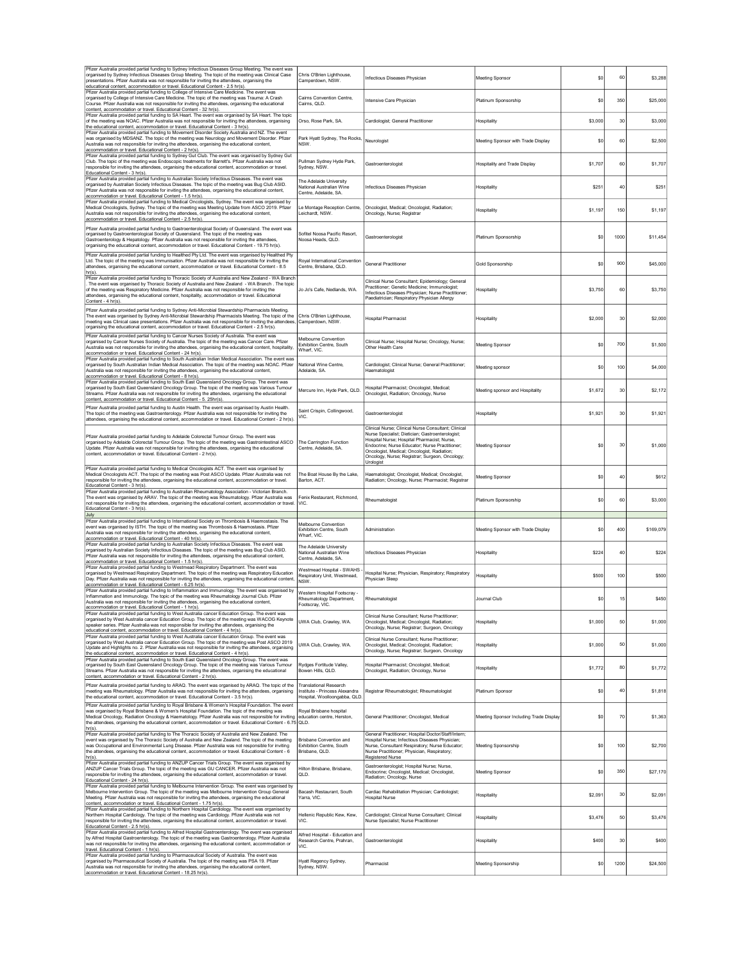| Pfizer Australia provided partial funding to Sydney Infectious Diseases Group Meeting. The event was<br>organised by Sydney Infectious Diseases Group Meeting. The topic of the meeting was Clinical Case<br>presentations. Pfizer Australia was not responsible for inviting the attendees, organising the                                                                                                                                                      | Chris O'Brien Lighthouse,<br>Camperdown, NSW.                                                   | Infectious Diseases Physician                                                                                                                                                                                                                                                                                          | Meeting Sponsor                         | \$0          | 60   | \$3,288   |
|------------------------------------------------------------------------------------------------------------------------------------------------------------------------------------------------------------------------------------------------------------------------------------------------------------------------------------------------------------------------------------------------------------------------------------------------------------------|-------------------------------------------------------------------------------------------------|------------------------------------------------------------------------------------------------------------------------------------------------------------------------------------------------------------------------------------------------------------------------------------------------------------------------|-----------------------------------------|--------------|------|-----------|
| educational content, accommodation or travel. Educational Content - 2.5 hr(s).<br>Pfizer Australia provided partial funding to College of Intensive Care Medicine. The event was<br>organised by College of Intensive Care Medicine. The topic of the meeting was Trauma: A Crash<br>Course. Pfizer Australia was not responsible for inviting the attendees, organising the educational                                                                         | Cairns Convention Centre.<br>Caims, QLD.                                                        | Intensive Care Physician                                                                                                                                                                                                                                                                                               | Platinum Sponsorship                    | \$0          | 350  | \$25,000  |
| content, accommodation or travel. Educational Content - 32 hr(s).<br>Pfizer Australia provided partial funding to SA Heart. The event was organised by SA Heart. The topic<br>of the meeting was NOAC. Pfizer Australia was not responsible for inviting the attendees, organising<br>the educational content, accommodation or travel. Educational Content - 3 hr(s).                                                                                           | Orso, Rose Park, SA.                                                                            | Cardiologist; General Practitioner                                                                                                                                                                                                                                                                                     | Hospitality                             | \$3,000      | 30   | \$3,000   |
| Pfizer Australia provided partial funding to Movement Disorder Society Australia and NZ. The event<br>was organised by MDSANZ. The topic of the meeting was Neurology and Movement Disorder. Pfizer<br>Australia was not responsible for inviting the attendees, organising the educational content,<br>accommodation or travel. Educational Content - 2 hr(s).                                                                                                  | Park Hyatt Sydney, The Rocks,<br>NSW.                                                           | Neurologist                                                                                                                                                                                                                                                                                                            | Meeting Sponsor with Trade Display      | \$0          | 60   | \$2,500   |
| Pfizer Australia provided partial funding to Sydney Gut Club. The event was organised by Sydney Gut<br>Club. The topic of the meeting was Endoscopic treatments for Barrett's. Pfizer Australia was not<br>responsible for inviting the attendees, organising the educational content, accommodation or travel.<br>Educational Content - 3 hr(s).                                                                                                                | Pullman Sydney Hyde Park,<br>Sydney, NSW.                                                       | Gastroenterologist                                                                                                                                                                                                                                                                                                     | Hospitality and Trade Display           | \$1,707      | 60   | \$1,707   |
| Pfizer Australia provided partial funding to Australian Society Infectious Diseases. The event was<br>organised by Australian Society Infectious Diseases. The topic of the meeting was Bug Club ASID.<br>Pfizer Australia was not responsible for inviting the attendees, organising the educational content,<br>accommodation or travel. Educational Content - 1.5 hr(s).                                                                                      | The Adelaide University<br>National Australian Wine<br>Centre Adelaide SA                       | Infectious Diseases Physician                                                                                                                                                                                                                                                                                          | Hospitality                             | <b>\$251</b> | 40   | \$251     |
| Pfizer Australia provided partial funding to Medical Oncologists, Sydney. The event was organised by<br>Medical Oncologists, Sydney. The topic of the meeting was Meeting Update from ASCO 2019. Pfizer<br>Australia was not responsible for inviting the attendees, organising the educational content,                                                                                                                                                         | Le Montage Reception Centre,<br>Leichardt, NSW.                                                 | Oncologist, Medical; Oncologist, Radiation;<br>Oncology, Nurse; Registrar                                                                                                                                                                                                                                              | Hospitality                             | \$1,197      | 150  | \$1,197   |
| accommodation or travel. Educational Content - 2.5 hr(s).<br>Pfizer Australia provided partial funding to Gastroenterological Society of Queensland. The event was<br>organised by Gastroenterological Society of Queensland. The topic of the meeting was<br>Gastroenterology & Hepatology. Pfizer Australia was not responsible for inviting the attendees,<br>organising the educational content, accommodation or travel. Educational Content - 19.75 hr(s). | Sofitel Noosa Pacific Resort,<br>Noosa Heads, QLD.                                              | Gastroenterologist                                                                                                                                                                                                                                                                                                     | Platinum Sponsorship                    | \$0          | 1000 | \$11,454  |
| Pfizer Australia provided partial funding to Healthed Pty Ltd. The event was organised by Healthed Pty<br>Ltd. The topic of the meeting was Immunisation. Pfizer Australia was not responsible for inviting the<br>attendees, organising the educational content, accommodation or travel. Educational Content - 8.5<br>$hr(s)$ .                                                                                                                                | Royal International Convention<br>Centre, Brisbane, QLD.                                        | <b>General Practitioner</b>                                                                                                                                                                                                                                                                                            | Gold Sponsorship                        | \$0          | 900  | \$45,000  |
| Pfizer Australia provided partial funding to Thoracic Society of Australia and New Zealand - WA Branch<br>The event was organised by Thoracic Society of Australia and New Zealand - WA Branch . The topic<br>of the meeting was Respiratory Medicine. Pfizer Australia was not responsible for inviting the<br>attendees, organising the educational content, hospitality, accommodation or travel. Educational<br>Content - 4 hr(s)                            | Jo Jo's Cafe, Nedlands, WA                                                                      | Clinical Nurse Consultant; Epidemiology; General<br>Practitioner; Genetic Medicine; Immunologist;<br>Infectious Diseases Physician; Nurse Practitioner;<br>Paediatrician; Respiratory Physician Allergy                                                                                                                | Hospitality                             | \$3,750      | 60   | \$3,750   |
| Pfizer Australia provided partial funding to Sydney Anti-Microbial Stewardship Pharmacists Meeting.<br>The event was organised by Sydney Anti-Microbial Stewardship Pharmacists Meeting. The topic of the<br>meeting was Clinical case presentations. Pfizer Australia was not responsible for inviting the attendees,<br>organising the educational content, accommodation or travel. Educational Content - 2.5 hr(s).                                          | Chris O'Brien Lighthouse,<br>Camperdown, NSW.                                                   | Hospital Pharmacist                                                                                                                                                                                                                                                                                                    | Hospitality                             | \$2,000      | 30   | \$2,000   |
| Pfizer Australia provided partial funding to Cancer Nurses Society of Australia. The event was<br>organised by Cancer Nurses Society of Australia. The topic of the meeting was Cancer Care. Pfizer<br>Australia was not responsible for inviting the attendees, organising the educational content, hospitality,<br>accommodation or travel. Educational Content - 24 hr(s).                                                                                    | Melbourne Convention<br>Exhibition Centre, South<br>Wharf, VIC.                                 | Clinical Nurse; Hospital Nurse; Oncology, Nurse;<br>Other Health Care                                                                                                                                                                                                                                                  | <b>Meeting Sponsor</b>                  | \$0          | 700  | \$1,500   |
| Pfizer Australia provided partial funding to South Australian Indian Medical Association. The event was<br>organised by South Australian Indian Medical Association. The topic of the meeting was NOAC. Pfizer<br>Australia was not responsible for inviting the attendees, organising the educational content,<br>accommodation or travel. Educational Content - 8 hr(s).                                                                                       | National Wine Centre,<br>Adelaide, SA.                                                          | Cardiologist; Clinical Nurse; General Practitioner;<br>Haematologist                                                                                                                                                                                                                                                   | Meeting sponsor                         | \$0          | 100  | \$4,000   |
| Pfizer Australia provided partial funding to South East Queensland Oncology Group. The event was<br>organised by South East Queensland Oncology Group. The topic of the meeting was Various Tumour<br>Streams. Pfizer Australia was not responsible for inviting the attendees, organising the educational<br>content, accommodation or travel. Educational Content - 5. 25hr(s).                                                                                | Mercure Inn, Hyde Park, QLD.                                                                    | Hospital Pharmacist: Oncologist, Medical:<br>Oncologist, Radiation; Oncology, Nurse                                                                                                                                                                                                                                    | Meeting sponsor and Hospitality         | \$1,672      | 30   | \$2,172   |
| Pfizer Australia provided partial funding to Austin Health. The event was organised by Austin Health.<br>The topic of the meeting was Gastroenterology. Pfizer Australia was not responsible for inviting the<br>attendees, organising the educational content, accommodation or travel. Educational Content - 2 hr(s).                                                                                                                                          | Saint Crispin, Collingwood,<br>VIC.                                                             | Gastroenterologist                                                                                                                                                                                                                                                                                                     | Hospitality                             | \$1,921      | 30   | \$1,921   |
| Pfizer Australia provided partial funding to Adelaide Colorectal Tumour Group. The event was<br>organised by Adelaide Colorectal Tumour Group. The topic of the meeting was Gastrointestinal ASCO<br>Update. Pfizer Australia was not responsible for inviting the attendees, organising the educational<br>content, accommodation or travel. Educational Content - 2 hr(s).                                                                                     | The Carrington Function<br>Centre, Adelaide, SA                                                 | Clinical Nurse: Clinical Nurse Consultant: Clinical<br>Nurse Specialist; Dietician; Gastroenterologist;<br>Hospital Nurse; Hospital Pharmacist; Nurse,<br>Endocrine; Nurse Educator; Nurse Practitioner;<br>Oncologist, Medical; Oncologist, Radiation;<br>Oncology, Nurse; Registrar; Surgeon, Oncology;<br>Urologist | Meeting Sponsor                         | \$0          | 30   | \$1,000   |
| Pfizer Australia provided partial funding to Medical Oncologists ACT. The event was organised by<br>Medical Oncologists ACT. The topic of the meeting was Post ASCO Update. Pfizer Australia was not<br>responsible for inviting the attendees, organising the educational content, accommodation or travel.<br>Educational Content - 3 hr(s).                                                                                                                   | The Boat House By the Lake,<br>Barton, ACT.                                                     | Haematologist; Oncologist, Medical; Oncologist,<br>Radiation; Oncology, Nurse; Pharmacist; Registrar                                                                                                                                                                                                                   | Meeting Sponsor                         | \$0          | 40   | \$612     |
| Pfizer Australia provided partial funding to Australian Rheumatology Association - Victorian Branch.<br>The event was organised by ARAV. The topic of the meeting was Rheumatology. Pfizer Australia was<br>not responsible for inviting the attendees, organising the educational content, accommodation or travel.<br>Educational Content - 3 hr(s)                                                                                                            | Fenix Restaurant, Richmond,<br>VIC.                                                             | Rheumatologist                                                                                                                                                                                                                                                                                                         | Platinum Sponsorship                    | \$0          | 60   | \$3,000   |
| July<br>Pfizer Australia provided partial funding to International Society on Thrombosis & Haemostasis. The<br>event was organised by ISTH. The topic of the meeting was Thrombosis & Haemostasis. Pfizer<br>Australia was not responsible for inviting the attendees, organising the educational content,<br>accommodation or travel. Educational Content - 40 hr(s).                                                                                           | Melbourne Convention<br>Exhibition Centre, South<br>Wharf, VIC.                                 | Administration                                                                                                                                                                                                                                                                                                         | Meeting Sponsor with Trade Display      | \$0          | 400  | \$169,079 |
| Pfizer Australia provided partial funding to Australian Society Infectious Diseases. The event was<br>organised by Australian Society Infectious Diseases. The topic of the meeting was Bug Club ASID.<br>Pfizer Australia was not responsible for inviting the attendees, organising the educational content,<br>accommodation or travel. Educational Content - 1.5 hr(s).                                                                                      | The Adelaide University<br>National Australian Wine<br>Centre, Adelaide, SA.                    | Infectious Diseases Physician                                                                                                                                                                                                                                                                                          | Hospitality                             | \$224        | 40   | \$224     |
| Pfizer Australia provided partial funding to Westmead Respiratory Department. The event was<br>organised by Westmead Respiratory Department. The topic of the meeting was Respiratory Education<br>Day. Pfizer Australia was not responsible for inviting the attendees, organising the educational content,<br>accommodation or travel. Educational Content - 6.25 hr(s).                                                                                       | Westmead Hospital - SWAHS<br>Respiratory Unit, Westmead<br>NSW.                                 | lospital Nurse; Physician, Respiratory; Respiratory<br>Physician Sleep                                                                                                                                                                                                                                                 | <b>Hospitality</b>                      | \$500        | 100  | \$500     |
| Pfizer Australia provided partial funding to Inflammation and Immunology. The event was organised by<br>Inflammation and Immunology. The topic of the meeting was Rheumatology Journal Club. Pfizer<br>Australia was not responsible for inviting the attendees, organising the educational content,<br>accommodation or travel Educational Content - 1 hr(s)                                                                                                    | Western Hospital Footscray -<br>Rheumatology Department,<br>Footscray, VIC.                     | Rheumatologist                                                                                                                                                                                                                                                                                                         | Journal Club                            | \$0          | 15   | \$450     |
| Pfizer Australia provided partial funding to West Australia cancer Education Group. The event was<br>organised by West Australia cancer Education Group. The topic of the meeting was WACOG Keynote<br>speaker series. Pfizer Australia was not responsible for inviting the attendees, organising the<br>educational content, accommodation or travel. Educational Content - 4 hr(s).                                                                           | UWA Club, Crawley, WA.                                                                          | Clinical Nurse Consultant; Nurse Practitioner;<br>Oncologist, Medical; Oncologist, Radiation;<br>Oncology, Nurse; Registrar; Surgeon, Oncology                                                                                                                                                                         | Hospitality                             | \$1,000      | 50   | \$1,000   |
| Pfizer Australia provided partial funding to West Australia cancer Education Group. The event was<br>organised by West Australia cancer Education Group. The topic of the meeting was Post ASCO 2019<br>Update and Highlights no. 2. Pfizer Australia was not responsible for inviting the attendees, organising<br>the educational content, accommodation or travel. Educational Content - 4 hr(s).                                                             | JWA Club, Crawley, WA.                                                                          | Clinical Nurse Consultant: Nurse Practitioner:<br>Oncologist, Medical; Oncologist, Radiation;<br>Oncology, Nurse; Registrar; Surgeon, Oncology                                                                                                                                                                         | Hospitality                             | \$1,000      | 50   | \$1,000   |
| Pfizer Australia provided partial funding to South East Queensland Oncology Group. The event was<br>organised by South East Queensland Oncology Group. The topic of the meeting was Various Tumour<br>Streams. Pfizer Australia was not responsible for inviting the attendees, organising the educational<br>content, accommodation or travel. Educational Content - 2 hr(s).                                                                                   | Rydges Fortitude Valley,<br>Bowen Hills, QLD.                                                   | Hospital Pharmacist; Oncologist, Medical;<br>Oncologist, Radiation; Oncology, Nurse                                                                                                                                                                                                                                    | Hospitality                             | \$1,772      | 80   | \$1,772   |
| Pfizer Australia provided partial funding to ARAQ. The event was organised by ARAQ. The topic of the<br>meeting was Rheumatology. Pfizer Australia was not responsible for inviting the attendees, organising<br>the educational content, accommodation or travel. Educational Content - 3.5 hr(s).                                                                                                                                                              | <b>Translational Research</b><br>Institute - Princess Alexandra<br>Hospital, Woolloongabba, QLD | Registrar Rheumatologist; Rheumatologist                                                                                                                                                                                                                                                                               | Platinum Sponsor                        | \$0          | 40   | \$1,818   |
| Pfizer Australia provided partial funding to Royal Brisbane & Women's Hospital Foundation. The event<br>was organised by Royal Brisbane & Women's Hospital Foundation. The topic of the meeting was<br>Medical Oncology, Radiation Oncology & Haematology. Pfizer Australia was not responsible for inviting<br>the attendees, organising the educational content, accommodation or travel. Educational Content - 6.75<br>$hr(s)$ .                              | Royal Brisbane hospital<br>education centre, Herston,<br>QLD.                                   | General Practitioner; Oncologist, Medical                                                                                                                                                                                                                                                                              | Meeting Sponsor Including Trade Display | \$0          | 70   | \$1,363   |
| Pfizer Australia provided partial funding to The Thoracic Society of Australia and New Zealand. The<br>event was organised by The Thoracic Society of Australia and New Zealand. The topic of the meeting<br>was Occupational and Environmental Lung Disease. Pfizer Australia was not responsible for inviting<br>the attendees, organising the educational content, accommodation or travel. Educational Content - 6<br>$hr(s)$ .                              | <b>Brisbane Convention and</b><br>Exhibition Centre, South<br>Brisbane, QLD.                    | General Practitioner; Hospital Doctor/Staff/Intern;<br>Hospital Nurse; Infectious Diseases Physician;<br>Nurse, Consultant Respiratory; Nurse Educator;<br>Nurse Practitioner; Physician, Respiratory;<br>Registered Nurse                                                                                             | Meeting Sponsorship                     | \$0          | 100  | \$2,700   |
| Pfizer Australia provided partial funding to ANZUP Cancer Trials Group. The event was organised by<br>ANZUP Cancer Trials Group. The topic of the meeting was GU CANCER. Pfizer Australia was not<br>responsible for inviting the attendees, organising the educational content, accommodation or travel.<br>Educational Content - 24 hr(s).                                                                                                                     | Hilton Brisbane, Brisbane,<br>OLD.                                                              | Gastroenterologist; Hospital Nurse; Nurse,<br>Endocrine; Oncologist, Medical; Oncologist,<br>Radiation; Oncology, Nurse                                                                                                                                                                                                | <b>Meeting Sponsor</b>                  | \$0          | 350  | \$27,170  |
| Pfizer Australia provided partial funding to Melbourne Intervention Group. The event was organised by<br>Melbourne Intervention Group. The topic of the meeting was Melbourne Intervention Group General<br>Meeting. Pfizer Australia was not responsible for inviting the attendees, organising the educational<br>content, accommodation or travel. Educational Content - 1.75 hr(s).                                                                          | Bacash Restaurant, South<br>Yarra, VIC.                                                         | Cardiac Rehabilitation Physician; Cardiologist;<br>Hospital Nurse                                                                                                                                                                                                                                                      | <b>Hospitality</b>                      | \$2,091      | 30   | \$2,091   |
| Pfizer Australia provided partial funding to Northern Hospital Cardiology. The event was organised by<br>Northern Hospital Cardiology. The topic of the meeting was Cardiology. Pfizer Australia was not<br>responsible for inviting the attendees, organising the educational content, accommodation or travel.<br>Educational Content - 2.5 hr(s).                                                                                                             | Hellenic Republic Kew, Kew,<br>VIC.                                                             | Cardiologist; Clinical Nurse Consultant; Clinical<br>Nurse Specialist; Nurse Practitioner                                                                                                                                                                                                                              | Hospitality                             | \$3,476      | 50   | \$3,476   |
| Pfizer Australia provided partial funding to Alfred Hospital Gastroenterology. The event was organised<br>by Alfred Hospital Gastroenterology. The topic of the meeting was Gastroenterology. Pfizer Australia<br>was not responsible for inviting the attendees, organising the educational content, accommodation or<br>travel. Educational Content - 1 hr(s).                                                                                                 | Alfred Hospital - Education and<br>Research Centre, Prahran,<br>VIC.                            | Gastroenterologist                                                                                                                                                                                                                                                                                                     | Hospitality                             | \$400        | 30   | \$400     |
| Pfizer Australia provided partial funding to Pharmaceutical Society of Australia. The event was<br>organised by Pharmaceutical Society of Australia. The topic of the meeting was PSA 19. Pfizer<br>Australia was not responsible for inviting the attendees, organising the educational content,<br>accommodation or travel. Educational Content - 18.25 hr(s).                                                                                                 | Hyatt Regency Sydney,<br>Sydney, NSW.                                                           | Pharmacist                                                                                                                                                                                                                                                                                                             | Meeting Sponsorship                     | \$0          | 1200 | \$24,500  |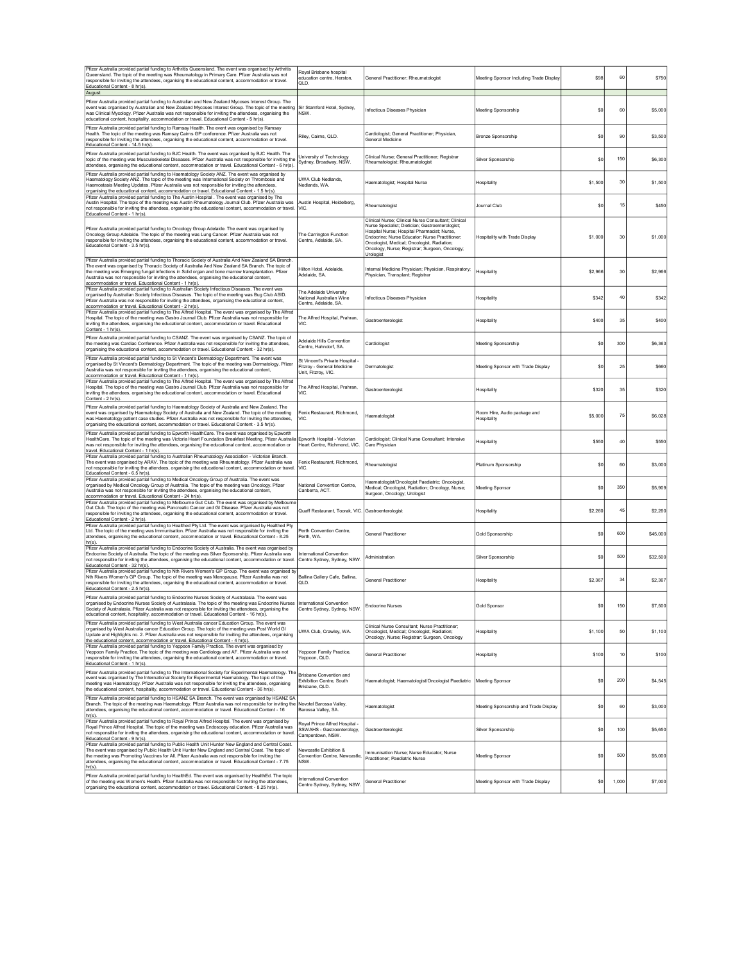| Pfizer Australia provided partial funding to Arthritis Queensland. The event was organised by Arthritis<br>Queensland. The topic of the meeting was Rheumatology in Primary Care. Pfizer Australia was not<br>responsible for inviting the attendees, organising the educational content, accommodation or travel.<br>Educational Content - 8 hr(s).                                                                                                                       | Royal Brisbane hospital<br>education centre, Herston,<br>QLD.                        | General Practitioner; Rheumatologist                                                                                                                                                                                                                                                                                   | Meeting Sponsor Including Trade Display     | \$98    | 60    | \$750    |
|----------------------------------------------------------------------------------------------------------------------------------------------------------------------------------------------------------------------------------------------------------------------------------------------------------------------------------------------------------------------------------------------------------------------------------------------------------------------------|--------------------------------------------------------------------------------------|------------------------------------------------------------------------------------------------------------------------------------------------------------------------------------------------------------------------------------------------------------------------------------------------------------------------|---------------------------------------------|---------|-------|----------|
| August<br>Pfizer Australia provided partial funding to Australian and New Zealand Mycoses Interest Group. The<br>event was organised by Australian and New Zealand Mycoses Interest Group. The topic of the meeting<br>was Clinical Mycology. Pfizer Australia was not responsible for inviting the attendees, organising the<br>educational content, hospitality, accommodation or travel. Educational Content - 5 hr(s).                                                 | Sir Stamford Hotel, Sydney,<br>NSW.                                                  | Infectious Diseases Physician                                                                                                                                                                                                                                                                                          | Meeting Sponsorship                         | \$0     | 60    | \$5,000  |
| Pfizer Australia provided partial funding to Ramsay Health. The event was organised by Ramsay<br>Health. The topic of the meeting was Ramsay Cairns GP conference. Pfizer Australia was not<br>responsible for inviting the attendees, organising the educational content, accommodation or travel.<br>Educational Content - 14.5 hr(s)                                                                                                                                    | Riley, Cairns, QLD.                                                                  | Cardiologist; General Practitioner; Physician,<br><b>General Medicine</b>                                                                                                                                                                                                                                              | Bronze Sponsorship                          | \$0     | 90    | \$3,500  |
| Pfizer Australia provided partial funding to BJC Health. The event was organised by BJC Health. The<br>topic of the meeting was Musculoskeletal Diseases. Pfizer Australia was not responsible for inviting the<br>attendees, organising the educational content, accommodation or travel. Educational Content - 6 hr(s).                                                                                                                                                  | Jniversity of Technology<br>Sydney, Broadway, NSW.                                   | Clinical Nurse; General Practitioner; Registrar<br>Rheumatologist; Rheumatologist                                                                                                                                                                                                                                      | Silver Sponsorship                          | \$C     | 150   | \$6,300  |
| Pfizer Australia provided partial funding to Haematology Society ANZ. The event was organised by<br>Haematology Society ANZ. The topic of the meeting was International Society on Thrombosis and<br>Haemostasis Meeting Updates. Pfizer Australia was not responsible for inviting the attendees,<br>organising the educational content, accommodation or travel. Educational Content - 1.5 hr(s)                                                                         | <b>UWA Club Nedlands</b><br>Nedlands, WA.                                            | Haematologist; Hospital Nurse                                                                                                                                                                                                                                                                                          | Hospitality                                 | \$1,500 | 30    | \$1,500  |
| Pfizer Australia provided partial funding to The Austin Hospital . The event was organised by The<br>Austin Hospital. The topic of the meeting was Austin Rheumatology Journal Club. Pfizer Australia was<br>not responsible for inviting the attendees, organising the educational content, accommodation or travel.<br>Educational Content - 1 hr(s).                                                                                                                    | Austin Hospital, Heidelberg,<br>VIC.                                                 | Rheumatologist                                                                                                                                                                                                                                                                                                         | Journal Club                                | \$0     | 15    | \$450    |
| Pfizer Australia provided partial funding to Oncology Group Adelaide. The event was organised by<br>Oncology Group Adelaide. The topic of the meeting was Lung Cancer. Pfizer Australia was not<br>responsible for inviting the attendees, organising the educational content, accommodation or travel.<br>Educational Content - 3.5 hr(s).                                                                                                                                | The Carrington Function<br>Centre, Adelaide, SA.                                     | Clinical Nurse; Clinical Nurse Consultant; Clinical<br>Nurse Specialist; Dietician; Gastroenterologist;<br>Hospital Nurse; Hospital Pharmacist; Nurse,<br>Endocrine; Nurse Educator; Nurse Practitioner;<br>Oncologist, Medical; Oncologist, Radiation;<br>Oncology, Nurse; Registrar; Surgeon, Oncology;<br>Urologist | Hospitality with Trade Display              | \$1,000 | 30    | \$1,000  |
| Pfizer Australia provided partial funding to Thoracic Society of Australia And New Zealand SA Branch.<br>The event was organised by Thoracic Society of Australia And New Zealand SA Branch. The topic of<br>the meeting was Emerging fungal infections in Solid organ and bone marrow transplantation. Pfizer<br>Australia was not responsible for inviting the attendees, organising the educational content,<br>accommodation or travel. Educational Content - 1 hr(s). | Hilton Hotel, Adelaide,<br>Adelaide, SA.                                             | Internal Medicine Physician; Physician, Respiratory;<br>Physician, Transplant; Registrai                                                                                                                                                                                                                               | Hospitality                                 | \$2,966 | 30    | \$2.966  |
| Pfizer Australia provided partial funding to Australian Society Infectious Diseases. The event was<br>organised by Australian Society Infectious Diseases. The topic of the meeting was Bug Club ASID.<br>Pfizer Australia was not responsible for inviting the attendees, organising the educational content,<br>accommodation or travel. Educational Content - 2 hr(s).                                                                                                  | The Adelaide University<br>National Australian Wine<br>Centre, Adelaide, SA          | Infectious Diseases Physician                                                                                                                                                                                                                                                                                          | Hospitality                                 | \$342   | 40    | \$342    |
| Pfizer Australia provided partial funding to The Alfred Hospital. The event was organised by The Alfred<br>Hospital. The topic of the meeting was Gastro Journal Club. Pfizer Australia was not responsible for<br>inviting the attendees, organising the educational content, accommodation or travel. Educational<br>Content - 1 hr(s)                                                                                                                                   | The Alfred Hospital, Prahran,<br>VIC.                                                | Gastroenterologist                                                                                                                                                                                                                                                                                                     | Hospitality                                 | \$400   | 35    | \$400    |
| Pfizer Australia provided partial funding to CSANZ. The event was organised by CSANZ. The topic of<br>the meeting was Cardiac Conference. Pfizer Australia was not responsible for inviting the attendees<br>organising the educational content, accommodation or travel. Educational Content - 32 hr(s).                                                                                                                                                                  | Adelaide Hills Convention<br>Centre, Hahndorf, SA.                                   | Cardiologist                                                                                                                                                                                                                                                                                                           | Meeting Sponsorship                         | \$0     | 300   | \$6,363  |
| Pfizer Australia provided partial funding to St Vincent's Dermatology Department. The event was<br>organised by St Vincent's Dermatology Department. The topic of the meeting was Dermatology. Pfizer<br>Australia was not responsible for inviting the attendees, organising the educational content,<br>accommodation or travel. Educational Content - 1 hr(s).                                                                                                          | St Vincent's Private Hospital -<br>Fitzroy - General Medicine<br>Unit, Fitzroy, VIC. | Dermatologist                                                                                                                                                                                                                                                                                                          | Meeting Sponsor with Trade Display          | \$0     | 25    | \$660    |
| Pfizer Australia provided partial funding to The Alfred Hospital. The event was organised by The Alfred<br>Hospital. The topic of the meeting was Gastro Journal Club. Pfizer Australia was not responsible for<br>inviting the attendees, organising the educational content, accommodation or travel. Educational<br>Content - 2 hr(s)                                                                                                                                   | The Alfred Hospital, Prahran,<br>VIC.                                                | Gastroenterologist                                                                                                                                                                                                                                                                                                     | Hospitality                                 | \$320   | 35    | \$320    |
| Pfizer Australia provided partial funding to Haematology Society of Australia and New Zealand. The<br>event was organised by Haematology Society of Australia and New Zealand. The topic of the meeting<br>was Haematology patient case studies. Pfizer Australia was not responsible for inviting the attendees,<br>organising the educational content, accommodation or travel. Educational Content - 3.5 hr(s).                                                         | Fenix Restaurant, Richmond,<br>VIC.                                                  | Haematologist                                                                                                                                                                                                                                                                                                          | Room Hire, Audio package and<br>Hospitality | \$5,000 | 75    | \$6,028  |
| Pfizer Australia provided partial funding to Epworth HealthCare. The event was organised by Epworth<br>HealthCare. The topic of the meeting was Victoria Heart Foundation Breakfast Meeting. Pfizer Australia<br>was not responsible for inviting the attendees, organising the educational content, accommodation or<br>travel. Educational Content - 1 hr(s).                                                                                                            | Epworth Hospital - Victorian<br>Heart Centre, Richmond, VIC.                         | Cardiologist; Clinical Nurse Consultant; Intensive<br>Care Physician                                                                                                                                                                                                                                                   | Hospitality                                 | \$550   | 40    | \$550    |
| Pfizer Australia provided partial funding to Australian Rheumatology Association - Victorian Branch.<br>The event was organised by ARAV. The topic of the meeting was Rheumatology. Pfizer Australia was<br>not responsible for inviting the attendees, organising the educational content, accommodation or travel.<br>Educational Content - 6.5 hr(s)                                                                                                                    | Fenix Restaurant, Richmond,<br>ЛC                                                    | Rheumatologist                                                                                                                                                                                                                                                                                                         | Platinum Sponsorship                        | \$0     | 60    | \$3,000  |
| Pfizer Australia provided partial funding to Medical Oncology Group of Australia. The event was<br>organised by Medical Oncology Group of Australia. The topic of the meeting was Oncology. Pfizer<br>Australia was not responsible for inviting the attendees, organising the educational content,<br>accommodation or travel. Educational Content - 24 hr(s).                                                                                                            | National Convention Centre.<br>Canberra, ACT.                                        | Haematologist/Oncologist Paediatric; Oncologist,<br>Medical; Oncologist, Radiation; Oncology, Nurse;<br>Surgeon, Oncology; Urologist                                                                                                                                                                                   | <b>Meeting Sponsor</b>                      | \$0     | 350   | \$5,909  |
| Pfizer Australia provided partial funding to Melbourne Gut Club. The event was organised by Melbourne<br>Gut Club. The topic of the meeting was Pancreatic Cancer and GI Disease. Pfizer Australia was not<br>responsible for inviting the attendees, organising the educational content, accommodation or travel.<br>Educational Content - 2 hr(s).                                                                                                                       | Quaff Restaurant, Toorak, VIC. Gastroenterologist                                    |                                                                                                                                                                                                                                                                                                                        | Hospitality                                 | \$2,260 | 45    | \$2.260  |
| Pfizer Australia provided partial funding to Healthed Pty Ltd. The event was organised by Healthed Pty<br>Ltd. The topic of the meeting was Immunisation. Pfizer Australia was not responsible for inviting the<br>attendees, organising the educational content, accommodation or travel. Educational Content - 8.25<br>hr(s).                                                                                                                                            | Perth Convention Centre,<br>Perth, WA.                                               | <b>General Practitioner</b>                                                                                                                                                                                                                                                                                            | Gold Sponsorship                            | \$0     | 600   | \$45,000 |
| Pfizer Australia provided partial funding to Endocrine Society of Australia. The event was organised by<br>Endocrine Society of Australia. The topic of the meeting was Silver Sponsorship. Pfizer Australia was<br>not responsible for inviting the attendees, organising the educational content, accommodation or travel.<br>Educational Content - 32 hr(s).                                                                                                            | nternational Convention<br>Centre Sydney, Sydney, NSW.                               | Administration                                                                                                                                                                                                                                                                                                         | Silver Sponsorship                          | \$0     | 500   | \$32,500 |
| Pfizer Australia provided partial funding to Nth Rivers Women's GP Group. The event was organised by<br>Nth Rivers Women's GP Group. The topic of the meeting was Menopause. Pfizer Australia was not<br>responsible for inviting the attendees, organising the educational content, accommodation or travel.<br>Educational Content - 2.5 hr(s)                                                                                                                           | Ballina Gallery Cafe, Ballina,<br>OLD.                                               | <b>General Practitioner</b>                                                                                                                                                                                                                                                                                            | Hospitality                                 | \$2,367 | 34    | \$2,367  |
| Pfizer Australia provided partial funding to Endocrine Nurses Society of Australasia. The event was<br>organised by Endocrine Nurses Society of Australasia. The topic of the meeting was Endocrine Nurses International Convention<br>ociety of Australasia. Pfizer Australia was not responsible for inviting the attendees, organising the<br>educational content, hospitality, accommodation or travel. Educational Content - 16 hr(s).                                | Centre Sydney, Sydney, NSW. Endocrine Nurses                                         |                                                                                                                                                                                                                                                                                                                        | Gold Sponsor                                | \$0     | 150   | \$7,500  |
| Pfizer Australia provided partial funding to West Australia cancer Education Group. The event was<br>organised by West Australia cancer Education Group. The topic of the meeting was Post World GI<br>Update and Highlights no. 2. Pfizer Australia was not responsible for inviting the attendees, organising<br>the educational content, accommodation or travel. Educational Content - 4 hr(s).                                                                        | UWA Club, Crawley, WA.                                                               | Clinical Nurse Consultant; Nurse Practitioner;<br>Oncologist, Medical; Oncologist, Radiation;<br>Oncology, Nurse; Registrar; Surgeon, Oncology                                                                                                                                                                         | Hospitality                                 | \$1,100 | 50    | \$1,100  |
| Pfizer Australia provided partial funding to Yeppoon Family Practice. The event was organised by<br>Yeppoon Family Practice. The topic of the meeting was Cardiology and AF. Pfizer Australia was not<br>responsible for inviting the attendees, organising the educational content, accommodation or travel.<br>Educational Content - 1 hr(s).                                                                                                                            | Yeppoon Family Practice,<br>Yeppoon, QLD.                                            | <b>General Practitioner</b>                                                                                                                                                                                                                                                                                            | Hospitality                                 | \$100   | 10    | \$100    |
| Pfizer Australia provided partial funding to The International Society for Experimental Haematology. The<br>event was organised by The International Society for Experimental Haematology. The topic of the<br>meeting was Haematology. Pfizer Australia was not responsible for inviting the attendees, organising<br>the educational content, hospitality, accommodation or travel. Educational Content - 36 hr(s).                                                      | Brisbane Convention and<br>Exhibition Centre, South<br>Brisbane, QLD.                | Haematologist; Haematologist/Oncologist Paediatric                                                                                                                                                                                                                                                                     | <b>Meeting Sponsor</b>                      | \$0     | 200   | \$4,545  |
| Pfizer Australia provided partial funding to HSANZ SA Branch. The event was organised by HSANZ SA<br>Branch. The topic of the meeting was Haematology. Pfizer Australia was not responsible for inviting the<br>attendees, organising the educational content, accommodation or travel. Educational Content - 16                                                                                                                                                           | Novotel Barossa Valley,<br>Barossa Valley, SA.                                       | Haematologist                                                                                                                                                                                                                                                                                                          | Meeting Sponsorship and Trade Display       | \$0     | 60    | \$3,000  |
| $hr(s)$ .<br>Pfizer Australia provided partial funding to Royal Prince Alfred Hospital. The event was organised by<br>Royal Prince Alfred Hospital. The topic of the meeting was Endoscopy education. Pfizer Australia was<br>not responsible for inviting the attendees, organising the educational content, accommodation or travel.<br>Educational Content - 9 hr(s).                                                                                                   | Roval Prince Alfred Hospital -<br>SSWAHS - Gastroenterology,<br>Camperdown, NSW.     | Gastroenterologist                                                                                                                                                                                                                                                                                                     | Silver Sponsorship                          | \$0     | 100   | \$5,650  |
| Pfizer Australia provided partial funding to Public Health Unit Hunter New England and Central Coast.<br>The event was organised by Public Health Unit Hunter New England and Central Coast. The topic of<br>the meeting was Promoting Vaccines for All. Pfizer Australia was not responsible for inviting the<br>attendees, organising the educational content, accommodation or travel. Educational Content - 7.75<br>$hr(s)$ .                                          | Newcastle Exhibition &<br>Convention Centre, Newcastle,<br>NSW.                      | mmunisation Nurse: Nurse Educator: Nurse<br>Practitioner: Paediatric Nurse                                                                                                                                                                                                                                             | Meeting Sponsor                             | \$0     | 500   | \$5,000  |
| Pfizer Australia provided partial funding to HealthEd. The event was organised by HealthEd. The topic<br>of the meeting was Women's Health. Pfizer Australia was not responsible for inviting the attendees,<br>organising the educational content, accommodation or travel. Educational Content - 8.25 hr(s).                                                                                                                                                             | nternational Convention<br>Centre Sydney, Sydney, NSW.                               | <b>General Practitioner</b>                                                                                                                                                                                                                                                                                            | Meeting Sponsor with Trade Display          | \$0     | 1,000 | \$7,000  |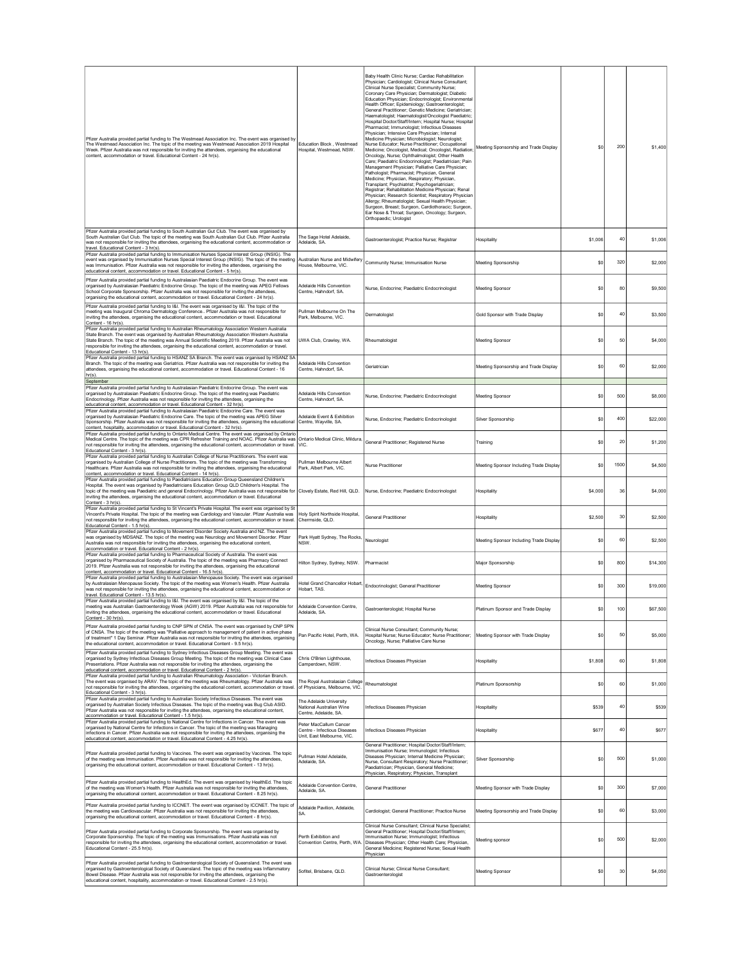| Pfizer Australia provided partial funding to The Westmead Association Inc. The event was organised by<br>The Westmead Association Inc. The topic of the meeting was Westmead Association 2019 Hospital<br>Week. Pfizer Australia was not responsible for inviting the attendees, organising the educational<br>content, accommodation or travel. Educational Content - 24 hr(s).                                                                                    | Education Block, Westmead<br>Hospital, Westmead, NSW.                                | Baby Health Clinic Nurse: Cardiac Rehabilitation<br>Physician; Cardiologist; Clinical Nurse Consultant;<br>Clinical Nurse Specialist; Community Nurse;<br>Coronary Care Physician; Dermatologist; Diabetic<br>Education Physician; Endocrinologist; Environmental<br>Health Officer; Epidemiology; Gastroenterologist;<br>General Practitioner; Genetic Medicine; Geriatrician;<br>Haematologist; Haematologist/Oncologist Paediatric;<br>Hospital Doctor/Staff/Intern; Hospital Nurse; Hospital<br>Pharmacist; Immunologist; Infectious Diseases<br>Physician; Intensive Care Physician; Internal<br>Medicine Physician; Microbiologist; Neurologist;<br>Nurse Educator; Nurse Practitioner; Occupational<br>Medicine; Oncologist, Medical; Oncologist, Radiation<br>Oncology, Nurse; Ophthalmologist; Other Health<br>Care; Paediatric Endocrinologist; Paediatrician; Pain<br>Management Physician; Palliative Care Physician;<br>Pathologist: Pharmacist: Physician, General<br>Medicine; Physician, Respiratory; Physician,<br>Transplant; Psychiatrist; Psychogeriatrician;<br>Registrar; Rehabilitation Medicine Physician; Renal<br>Physician; Research Scientist; Respiratory Physician<br>Allergy; Rheumatologist; Sexual Health Physician;<br>Surgeon, Breast; Surgeon, Cardiothoracic; Surgeon,<br>Ear Nose & Throat; Surgeon, Oncology; Surgeon,<br>Orthopaedic; Urologist | Meeting Sponsorship and Trade Display   | \$0     | 200  | \$1,400     |
|---------------------------------------------------------------------------------------------------------------------------------------------------------------------------------------------------------------------------------------------------------------------------------------------------------------------------------------------------------------------------------------------------------------------------------------------------------------------|--------------------------------------------------------------------------------------|-----------------------------------------------------------------------------------------------------------------------------------------------------------------------------------------------------------------------------------------------------------------------------------------------------------------------------------------------------------------------------------------------------------------------------------------------------------------------------------------------------------------------------------------------------------------------------------------------------------------------------------------------------------------------------------------------------------------------------------------------------------------------------------------------------------------------------------------------------------------------------------------------------------------------------------------------------------------------------------------------------------------------------------------------------------------------------------------------------------------------------------------------------------------------------------------------------------------------------------------------------------------------------------------------------------------------------------------------------------------------------------------|-----------------------------------------|---------|------|-------------|
| Pfizer Australia provided partial funding to South Australian Gut Club. The event was organised by<br>South Australian Gut Club. The topic of the meeting was South Australian Gut Club. Pfizer Australia<br>was not responsible for inviting the attendees, organising the educational content, accommodation or<br>travel. Educational Content - 3 hr(s).                                                                                                         | The Sage Hotel Adelaide,<br>Adelaide SA                                              | Gastroenterologist; Practice Nurse; Registrar                                                                                                                                                                                                                                                                                                                                                                                                                                                                                                                                                                                                                                                                                                                                                                                                                                                                                                                                                                                                                                                                                                                                                                                                                                                                                                                                           | Hospitality                             | \$1,006 | 40   | \$1,006     |
| Pfizer Australia provided partial funding to Immunisation Nurses Special Interest Group (INSIG). The<br>event was organised by Immunisation Nurses Special Interest Group (INSIG). The topic of the meeting<br>was Immunisation. Pfizer Australia was not responsible for inviting the attendees, organising the<br>educational content, accommodation or travel. Educational Content - 5 hr(s)                                                                     | Australian Nurse and Midwifery<br>House, Melbourne, VIC.                             | Community Nurse; Immunisation Nurse                                                                                                                                                                                                                                                                                                                                                                                                                                                                                                                                                                                                                                                                                                                                                                                                                                                                                                                                                                                                                                                                                                                                                                                                                                                                                                                                                     | Meeting Sponsorship                     | \$0     | 320  | \$2,000     |
| Pfizer Australia provided partial funding to Australasian Paediatric Endocrine Group. The event was<br>organised by Australasian Paediatric Endocrine Group. The topic of the meeting was APEG Fellows<br>School Corporate Sponsorship. Pfizer Australia was not responsible for inviting the attendees,<br>organising the educational content, accommodation or travel. Educational Content - 24 hr(s).                                                            | Adelaide Hills Convention<br>Centre, Hahndorf, SA.                                   | Nurse, Endocrine; Paediatric Endocrinologist                                                                                                                                                                                                                                                                                                                                                                                                                                                                                                                                                                                                                                                                                                                                                                                                                                                                                                                                                                                                                                                                                                                                                                                                                                                                                                                                            | Meeting Sponsor                         | \$0     | 80   | \$9,500     |
| Pfizer Australia provided partial funding to I&I. The event was organised by I&I. The topic of the<br>meeting was Inaugural Chroma Dermatology Conference Pfizer Australia was not responsible for<br>inviting the attendees, organising the educational content, accommodation or travel. Educational<br>Content - 16 hr(s).                                                                                                                                       | Pullman Melbourne On The<br>Park Melhourne VIC                                       | Dermatologist                                                                                                                                                                                                                                                                                                                                                                                                                                                                                                                                                                                                                                                                                                                                                                                                                                                                                                                                                                                                                                                                                                                                                                                                                                                                                                                                                                           | Gold Sponsor with Trade Display         | \$0     | 40   | \$3,500     |
| Pfizer Australia provided partial funding to Australian Rheumatology Association Western Australia<br>State Branch. The event was organised by Australian Rheumatology Association Western Australia<br>State Branch. The topic of the meeting was Annual Scientific Meeting 2019. Pfizer Australia was not<br>responsible for inviting the attendees, organising the educational content, accommodation or travel.<br>Educational Content - 13 hr(s).              | UWA Club, Crawley, WA.                                                               | Rheumatologist                                                                                                                                                                                                                                                                                                                                                                                                                                                                                                                                                                                                                                                                                                                                                                                                                                                                                                                                                                                                                                                                                                                                                                                                                                                                                                                                                                          | Meeting Sponsor                         | \$0     | 50   | \$4,000     |
| Pfizer Australia provided partial funding to HSANZ SA Branch. The event was organised by HSANZ SA<br>Branch. The topic of the meeting was Geriatrics. Pfizer Australia was not responsible for inviting the<br>attendees, organising the educational content, accommodation or travel. Educational Content - 16<br>$hr(s)$ .<br>September                                                                                                                           | Adelaide Hills Convention<br>Centre, Hahndorf, SA.                                   | Geriatrician                                                                                                                                                                                                                                                                                                                                                                                                                                                                                                                                                                                                                                                                                                                                                                                                                                                                                                                                                                                                                                                                                                                                                                                                                                                                                                                                                                            | Meeting Sponsorship and Trade Display   | \$0     | 60   | \$2,000     |
| Pfizer Australia provided partial funding to Australasian Paediatric Endocrine Group. The event was<br>organised by Australasian Paediatric Endocrine Group. The topic of the meeting was Paediatric<br>Endocrinology. Pfizer Australia was not responsible for inviting the attendees, organising the<br>educational content, accommodation or travel. Educational Content - 32 hr(s).                                                                             | Adelaide Hills Convention<br>Centre Hahndorf SA                                      | Nurse, Endocrine; Paediatric Endocrinologist                                                                                                                                                                                                                                                                                                                                                                                                                                                                                                                                                                                                                                                                                                                                                                                                                                                                                                                                                                                                                                                                                                                                                                                                                                                                                                                                            | Meeting Sponsor                         | \$0     | 500  | \$8,000     |
| Pfizer Australia provided partial funding to Australasian Paediatric Endocrine Care. The event was<br>organised by Australasian Paediatric Endocrine Care. The topic of the meeting was APEG Silver<br>Sponsorship. Pfizer Australia was not responsible for inviting the attendees, organising the educational<br>content, hospitality, accommodation or travel. Educational Content - 32 hr(s).                                                                   | Adelaide Event & Exhibition<br>Centre, Wavville, SA.                                 | Nurse, Endocrine; Paediatric Endocrinologist                                                                                                                                                                                                                                                                                                                                                                                                                                                                                                                                                                                                                                                                                                                                                                                                                                                                                                                                                                                                                                                                                                                                                                                                                                                                                                                                            | Silver Sponsorship                      | \$0     | 400  | \$22,000    |
| Pfizer Australia provided partial funding to Ontario Medical Centre. The event was organised by Ontario<br>Medical Centre. The topic of the meeting was CPR Refresher Training and NOAC. Pfizer Australia was<br>not responsible for inviting the attendees, organising the educational content, accommodation or travel.<br>Educational Content - 3 hr(s).                                                                                                         | Ontario Medical Clinic, Mildura,<br>VIC.                                             | General Practitioner; Registered Nurse                                                                                                                                                                                                                                                                                                                                                                                                                                                                                                                                                                                                                                                                                                                                                                                                                                                                                                                                                                                                                                                                                                                                                                                                                                                                                                                                                  | Training                                | \$0     | 20   | \$1,200     |
| Pfizer Australia provided partial funding to Australian College of Nurse Practitioners. The event was<br>organised by Australian College of Nurse Practitioners. The topic of the meeting was Transforming<br>Healthcare. Pfizer Australia was not responsible for inviting the attendees, organising the educational<br>content, accommodation or travel. Educational Content - 14 hr(s).                                                                          | Pullman Melbourne Albert<br>Park, Albert Park, VIC.                                  | Nurse Practitioner                                                                                                                                                                                                                                                                                                                                                                                                                                                                                                                                                                                                                                                                                                                                                                                                                                                                                                                                                                                                                                                                                                                                                                                                                                                                                                                                                                      | Meeting Sponsor Including Trade Display | \$0     | 1500 | \$4,500     |
| Pfizer Australia provided partial funding to Paediatricians Education Group Queensland Children's<br>Hospital. The event was organised by Paediatricians Education Group QLD Children's Hospital. The<br>topic of the meeting was Paediatric and general Endocrinology. Pfizer Australia was not responsible for<br>inviting the attendees, organising the educational content, accommodation or travel. Educational<br>Content - 3 hr(s).                          |                                                                                      | Clovely Estate, Red Hill, QLD. Nurse, Endocrine; Paediatric Endocrinologist                                                                                                                                                                                                                                                                                                                                                                                                                                                                                                                                                                                                                                                                                                                                                                                                                                                                                                                                                                                                                                                                                                                                                                                                                                                                                                             | Hospitality                             | \$4,000 | 36   | \$4,000     |
| Pfizer Australia provided partial funding to St Vincent's Private Hospital. The event was organised by St<br>Vincent's Private Hospital. The topic of the meeting was Cardiology and Vascular. Pfizer Australia was<br>not responsible for inviting the attendees, organising the educational content, accommodation or travel.<br>Educational Content - 1.5 hr(s).                                                                                                 | Holy Spirit Northside Hospital,<br>Chermside, QLD.                                   | <b>General Practitioner</b>                                                                                                                                                                                                                                                                                                                                                                                                                                                                                                                                                                                                                                                                                                                                                                                                                                                                                                                                                                                                                                                                                                                                                                                                                                                                                                                                                             | Hospitality                             | \$2,500 | 30   | \$2,500     |
| Pfizer Australia provided partial funding to Movement Disorder Society Australia and NZ. The event<br>was organised by MDSANZ. The topic of the meeting was Neurology and Movement Disorder. Pfizer<br>Australia was not responsible for inviting the attendees, organising the educational content,<br>accommodation or travel. Educational Content - 2 hr(s).<br>Pfizer Australia provided partial funding to Pharmaceutical Society of Australia. The event was  | Park Hyatt Sydney, The Rocks,<br>NSW.                                                | Neurologist                                                                                                                                                                                                                                                                                                                                                                                                                                                                                                                                                                                                                                                                                                                                                                                                                                                                                                                                                                                                                                                                                                                                                                                                                                                                                                                                                                             | Meeting Sponsor Including Trade Display | \$0     | 60   | \$2,500     |
| organised by Pharmaceutical Society of Australia. The topic of the meeting was Pharmacy Connect<br>2019. Pfizer Australia was not responsible for inviting the attendees, organising the educational<br>content, accommodation or travel. Educational Content - 16.5 hr(s).                                                                                                                                                                                         | Hilton Sydney, Sydney, NSW.                                                          | Pharmacist                                                                                                                                                                                                                                                                                                                                                                                                                                                                                                                                                                                                                                                                                                                                                                                                                                                                                                                                                                                                                                                                                                                                                                                                                                                                                                                                                                              | Major Sponsorship                       | \$0     | 800  | \$14,300    |
| Pfizer Australia provided partial funding to Australasian Menopause Society. The event was organised<br>by Australasian Menopause Society. The topic of the meeting was Women's Health. Pfizer Australia<br>was not responsible for inviting the attendees, organising the educational content, accommodation or<br>travel. Educational Content - 13.5 hr(s).<br>Pfizer Australia provided partial funding to I&I. The event was organised by I&I. The topic of the | Hotel Grand Chancellor Hobart,<br>Hobart, TAS.                                       | Endocrinologist; General Practitioner                                                                                                                                                                                                                                                                                                                                                                                                                                                                                                                                                                                                                                                                                                                                                                                                                                                                                                                                                                                                                                                                                                                                                                                                                                                                                                                                                   | Meeting Sponsor                         | \$0     | 300  | \$19,000    |
| meeting was Australian Gastroenterology Week (AGW) 2019. Pfizer Australia was not responsible for<br>attendees, organising the educational content, accommodation or travel. Edu<br>Content - 30 hr(s).                                                                                                                                                                                                                                                             | Adelaide Convention Centre.                                                          | Gastroenterologist; Hospital Nurse                                                                                                                                                                                                                                                                                                                                                                                                                                                                                                                                                                                                                                                                                                                                                                                                                                                                                                                                                                                                                                                                                                                                                                                                                                                                                                                                                      | Platinum Sponsor and Trade Display      | \$0     | 100  | \$67,500    |
| Pfizer Australia provided partial funding to CNP SPN of CNSA. The event was organised by CNP SPN<br>of CNSA. The topic of the meeting was "Palliative approach to management of patient in active phase<br>of treatment" 1 Day Seminar. Pfizer Australia was not responsible for inviting the attendees, organising<br>the educational content, accommodation or travel. Educational Content - 9.5 hr(s).                                                           | Pan Pacific Hotel, Perth, WA.                                                        | Clinical Nurse Consultant; Community Nurse;<br>Hospital Nurse; Nurse Educator; Nurse Practitioner;<br>Oncology, Nurse; Palliative Care Nurse                                                                                                                                                                                                                                                                                                                                                                                                                                                                                                                                                                                                                                                                                                                                                                                                                                                                                                                                                                                                                                                                                                                                                                                                                                            | Meeting Sponsor with Trade Display      | \$0     | 50   | \$5,000     |
| Pfizer Australia provided partial funding to Sydney Infectious Diseases Group Meeting. The event was<br>organised by Sydney Infectious Diseases Group Meeting. The topic of the meeting was Clinical Case<br>Presentations. Pfizer Australia was not responsible for inviting the attendees, organising the<br>educational content, accommodation or travel. Educational Content - 2 hr(s).                                                                         | Chris O'Brien Lighthouse,<br>Camperdown, NSW.                                        | Infectious Diseases Physician                                                                                                                                                                                                                                                                                                                                                                                                                                                                                                                                                                                                                                                                                                                                                                                                                                                                                                                                                                                                                                                                                                                                                                                                                                                                                                                                                           | Hospitality                             | \$1,808 | 60   | \$1,808     |
| Pfizer Australia provided partial funding to Australian Rheumatology Association - Victorian Branch.<br>The event was organised by ARAV. The topic of the meeting was Rheumatology. Pfizer Australia was<br>not responsible for inviting the attendees, organising the educational content, accommodation or travel.<br>Educational Content - 3 hr(s).                                                                                                              | The Royal Australasian College<br>of Physicians, Melbourne, VIC.                     | Rheumatologist                                                                                                                                                                                                                                                                                                                                                                                                                                                                                                                                                                                                                                                                                                                                                                                                                                                                                                                                                                                                                                                                                                                                                                                                                                                                                                                                                                          | Platinum Sponsorship                    | \$0     | 60   | \$1,000     |
| Pfizer Australia provided partial funding to Australian Society Infectious Diseases. The event was<br>organised by Australian Society Infectious Diseases. The topic of the meeting was Bug Club ASID.<br>Pfizer Australia was not responsible for inviting the attendees, organising the educational content,<br>accommodation or travel. Educational Content - 1.5 hr(s).                                                                                         | The Adelaide University<br>National Australian Wine<br>Centre, Adelaide, SA.         | Infectious Diseases Physician                                                                                                                                                                                                                                                                                                                                                                                                                                                                                                                                                                                                                                                                                                                                                                                                                                                                                                                                                                                                                                                                                                                                                                                                                                                                                                                                                           | Hospitality                             | \$539   | 40   | \$539       |
| Pfizer Australia provided partial funding to National Centre for Infections in Cancer. The event was<br>organised by National Centre for Infections in Cancer. The topic of the meeting was Managing<br>infections in Cancer. Pfizer Australia was not responsible for inviting the attendees, organising the<br>educational content, accommodation or travel. Educational Content - 4.25 hr(s).                                                                    | Peter MacCallum Cancer<br>Centre - Infectious Diseases<br>Unit, East Melbourne, VIC. | Infectious Diseases Physician                                                                                                                                                                                                                                                                                                                                                                                                                                                                                                                                                                                                                                                                                                                                                                                                                                                                                                                                                                                                                                                                                                                                                                                                                                                                                                                                                           | Hospitality                             | S677    | 40   | <b>S677</b> |
| Pfizer Australia provided partial funding to Vaccines. The event was organised by Vaccines. The topic<br>of the meeting was Immunisation. Pfizer Australia was not responsible for inviting the attendees,<br>organising the educational content, accommodation or travel. Educational Content - 13 hr(s).                                                                                                                                                          | Pullman Hotel Adelaide.<br>Adelaide, SA.                                             | General Practitioner: Hospital Doctor/Staff/Intern:<br>Immunisation Nurse; Immunologist; Infectious<br>Diseases Physician: Internal Medicine Physician:<br>Nurse, Consultant Respiratory; Nurse Practitioner;<br>Paediatrician; Physician, General Medicine;<br>Physician, Respiratory; Physician, Transplant                                                                                                                                                                                                                                                                                                                                                                                                                                                                                                                                                                                                                                                                                                                                                                                                                                                                                                                                                                                                                                                                           | Silver Sponsorship                      | \$0     | 500  | \$1,000     |
| Pfizer Australia provided partial funding to HealthEd. The event was organised by HealthEd. The topic                                                                                                                                                                                                                                                                                                                                                               |                                                                                      |                                                                                                                                                                                                                                                                                                                                                                                                                                                                                                                                                                                                                                                                                                                                                                                                                                                                                                                                                                                                                                                                                                                                                                                                                                                                                                                                                                                         |                                         |         |      | \$7,000     |
| of the meeting was Women's Health. Pfizer Australia was not responsible for inviting the attendees,<br>organising the educational content, accommodation or travel. Educational Content - 8.25 hr(s).                                                                                                                                                                                                                                                               | Adelaide Convention Centre,<br>Adelaide, SA                                          | <b>General Practitioner</b>                                                                                                                                                                                                                                                                                                                                                                                                                                                                                                                                                                                                                                                                                                                                                                                                                                                                                                                                                                                                                                                                                                                                                                                                                                                                                                                                                             | Meeting Sponsor with Trade Display      | \$0     | 300  |             |
| Pfizer Australia provided partial funding to ICCNET. The event was organised by ICCNET. The topic of<br>the meeting was Cardiovascular. Pfizer Australia was not responsible for inviting the attendees,<br>organising the educational content, accommodation or travel. Educational Content - 8 hr(s).                                                                                                                                                             | Adelaide Pavilion, Adelaide,<br><b>SA</b>                                            | Cardiologist; General Practitioner; Practice Nurse                                                                                                                                                                                                                                                                                                                                                                                                                                                                                                                                                                                                                                                                                                                                                                                                                                                                                                                                                                                                                                                                                                                                                                                                                                                                                                                                      | Meeting Sponsorship and Trade Display   | \$0     | 60   | \$3,000     |
| Pfizer Australia provided partial funding to Corporate Sponsorship. The event was organised by<br>Corporate Sponsorship. The topic of the meeting was Immunisations. Pfizer Australia was not<br>responsible for inviting the attendees, organising the educational content, accommodation or travel.<br>Educational Content - 25.5 hr(s).                                                                                                                          | Perth Exhibition and<br>Convention Centre, Perth, WA                                 | Clinical Nurse Consultant; Clinical Nurse Specialist;<br>General Practitioner; Hospital Doctor/Staff/Intern;<br>Immunisation Nurse; Immunologist; Infectious<br>Diseases Physician; Other Health Care; Physician,<br>General Medicine; Registered Nurse; Sexual Health<br>Physician                                                                                                                                                                                                                                                                                                                                                                                                                                                                                                                                                                                                                                                                                                                                                                                                                                                                                                                                                                                                                                                                                                     | Meeting sponsor                         | \$C     | 500  | \$2,000     |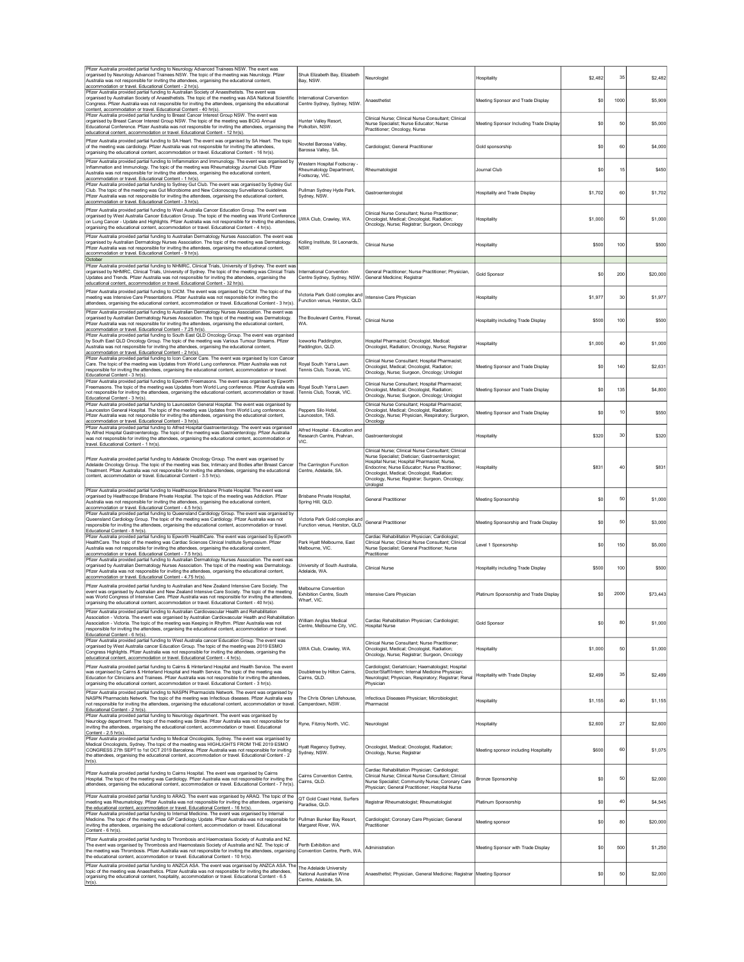| Pfizer Australia provided partial funding to Neurology Advanced Trainees NSW. The event was<br>organised by Neurology Advanced Trainees NSW. The topic of the meeting was Neurology. Pfizer<br>Australia was not responsible for inviting the attendees, organising the educational content,<br>accommodation or travel. Educational Content - 2 hr(s).                                                                                                  | Shuk Elizabeth Bay, Elizabeth<br>Bay, NSW.                                   | Neurologist                                                                                                                                                                                                                                                                                                            | Hospitality                             | \$2,482 | 35   | \$2,482  |
|----------------------------------------------------------------------------------------------------------------------------------------------------------------------------------------------------------------------------------------------------------------------------------------------------------------------------------------------------------------------------------------------------------------------------------------------------------|------------------------------------------------------------------------------|------------------------------------------------------------------------------------------------------------------------------------------------------------------------------------------------------------------------------------------------------------------------------------------------------------------------|-----------------------------------------|---------|------|----------|
| Pfizer Australia provided partial funding to Australian Society of Anaesthetists. The event was<br>organised by Australian Society of Anaesthetists. The topic of the meeting was ASA National Scientific<br>Congress. Pfizer Australia was not responsible for inviting the attendees, organising the educational<br>content, accommodation or travel. Educational Content - 40 hr(s).                                                                  | International Convention<br>Centre Sydney, Sydney, NSW.                      | Anaesthetist                                                                                                                                                                                                                                                                                                           | Meeting Sponsor and Trade Display       | \$0     | 1000 | \$5,909  |
| Pfizer Australia provided partial funding to Breast Cancer Interest Group NSW. The event was<br>organised by Breast Cancer Interest Group NSW. The topic of the meeting was BCIG Annual<br>Educational Conference. Pfizer Australia was not responsible for inviting the attendees, organising the<br>educational content, accommodation or travel. Educational Content - 12 hr(s)                                                                       | Hunter Valley Resort,<br>Polkolbin, NSW.                                     | Clinical Nurse; Clinical Nurse Consultant; Clinical<br>Nurse Specialist; Nurse Educator; Nurse<br>Practitioner; Oncology, Nurse                                                                                                                                                                                        | Meeting Sponsor Including Trade Display | \$0     | 50   | \$5,000  |
| Pfizer Australia provided partial funding to SA Heart. The event was organised by SA Heart. The topic<br>of the meeting was cardiology. Pfizer Australia was not responsible for inviting the attendees,<br>organising the educational content, accommodation or travel. Educational Content - 16 hr(s).                                                                                                                                                 | Novotel Barossa Valley,<br>Barossa Valley, SA.                               | Cardiologist; General Practitioner                                                                                                                                                                                                                                                                                     | Gold sponsorship                        | \$0     | 60   | \$4,000  |
| Pfizer Australia provided partial funding to Inflammation and Immunology. The event was organised by<br>Inflammation and Immunology. The topic of the meeting was Rheumatology Journal Club. Pfizer<br>Australia was not responsible for inviting the attendees, organising the educational content,<br>accommodation or travel. Educational Content - 1 hr(s).                                                                                          | Western Hospital Footscray -<br>Rheumatology Department,<br>Footscray, VIC.  | Rheumatologist                                                                                                                                                                                                                                                                                                         | Journal Club                            | \$0     | 15   | \$450    |
| Pfizer Australia provided partial funding to Sydney Gut Club. The event was organised by Sydney Gut<br>Club. The topic of the meeting was Gut Microbiome and New Colonoscopy Surveillance Guidelines.<br>Pfizer Australia was not responsible for inviting the attendees, organising the educational content,<br>accommodation or travel. Educational Content - 3 hr(s).                                                                                 | Pullman Sydney Hyde Park,<br>Sydney, NSW.                                    | Gastroenterologist                                                                                                                                                                                                                                                                                                     | Hospitality and Trade Display           | \$1,702 | 60   | \$1,702  |
| Pfizer Australia provided partial funding to West Australia Cancer Education Group. The event was<br>organised by West Australia Cancer Education Group. The topic of the meeting was World Conference<br>on Lung Cancer - Update and Highlights. Pfizer Australia was not responsible for inviting the attendees<br>organising the educational content, accommodation or travel. Educational Content - 4 hr(s).                                         | UWA Club, Crawley, WA.                                                       | Clinical Nurse Consultant; Nurse Practitioner;<br>Oncologist, Medical; Oncologist, Radiation;<br>Oncology, Nurse; Registrar; Surgeon, Oncology                                                                                                                                                                         | Hospitality                             | \$1,000 | 50   | \$1,000  |
| Pfizer Australia provided partial funding to Australian Dermatology Nurses Association. The event was<br>organised by Australian Dermatology Nurses Association. The topic of the meeting was Dermatology.<br>Pfizer Australia was not responsible for inviting the attendees, organising the educational content,<br>accommodation or travel. Educational Content - 9 hr(s).                                                                            | Kolling Institute, St Leonards,<br>NSW.                                      | Clinical Nurse                                                                                                                                                                                                                                                                                                         | Hospitality                             | \$500   | 100  | \$500    |
| October<br>Pfizer Australia provided partial funding to NHMRC, Clinical Trials, University of Sydney. The event was<br>organised by NHMRC, Clinical Trials, University of Sydney. The topic of the meeting was Clinical Trials<br>Updates and Trends. Pfizer Australia was not responsible for inviting the attendees, organising the                                                                                                                    | International Convention<br>Centre Sydney, Sydney, NSW.                      | General Practitioner; Nurse Practitioner; Physician,<br>General Medicine; Registrar                                                                                                                                                                                                                                    | <b>Gold Sponsor</b>                     | \$0     | 200  | \$20,000 |
| educational content, accommodation or travel. Educational Content - 32 hr(s)<br>Pfizer Australia provided partial funding to CICM. The event was organised by CICM. The topic of the<br>meeting was Intensive Care Presentations. Pfizer Australia was not responsible for inviting the<br>attendees, organising the educational content, accommodation or travel. Educational Content - 3 hr(s)                                                         | Victoria Park Gold complex and<br>Function venue, Herston, QLD.              | Intensive Care Physician                                                                                                                                                                                                                                                                                               | Hospitality                             | \$1,977 | 30   | \$1,977  |
| Pfizer Australia provided partial funding to Australian Dermatology Nurses Association. The event was<br>organised by Australian Dermatology Nurses Association. The topic of the meeting was Dermatology.<br>Pfizer Australia was not responsible for inviting the attendees, organising the educational content,<br>accommodation or travel. Educational Content - 7.25 hr(s).                                                                         | The Boulevard Centre, Floreat,<br>WA.                                        | <b>Clinical Nurse</b>                                                                                                                                                                                                                                                                                                  | Hospitality including Trade Display     | \$500   | 100  | \$500    |
| Pfizer Australia provided partial funding to South East QLD Oncology Group. The event was organised<br>by South East QLD Oncology Group. The topic of the meeting was Various Tumour Streams. Pfizer<br>Australia was not responsible for inviting the attendees, organising the educational content,<br>accommodation or travel. Educational Content - 2 hr(s).                                                                                         | Iceworks Paddington,<br>Paddington, QLD.                                     | Hospital Pharmacist; Oncologist, Medical;<br>Oncologist, Radiation; Oncology, Nurse; Registrar                                                                                                                                                                                                                         | Hospitality                             | \$1,000 | 40   | \$1,000  |
| Pfizer Australia provided partial funding to Icon Cancer Care. The event was organised by Icon Cancer<br>Care. The topic of the meeting was Updates from World Lung conference. Pfizer Australia was not<br>responsible for inviting the attendees, organising the educational content, accommodation or travel.<br>Educational Content - 3 hr(s).                                                                                                       | Roval South Yarra Lawn<br>Tennis Club, Toorak, VIC.                          | Clinical Nurse Consultant; Hospital Pharmacist;<br>Oncologist, Medical; Oncologist, Radiation;<br>Oncology, Nurse; Surgeon, Oncology; Urologist                                                                                                                                                                        | Meeting Sponsor and Trade Display       | \$0     | 140  | \$2,631  |
| Pfizer Australia provided partial funding to Epworth Freemasons. The event was organised by Epworth<br>Freemasons. The topic of the meeting was Updates from World Lung conference. Pfizer Australia was<br>not responsible for inviting the attendees, organising the educational content, accommodation or travel.<br>Educational Content - 3 hr(s).                                                                                                   | Royal South Yarra Lawn<br>Tennis Club, Toorak, VIC.                          | Clinical Nurse Consultant: Hospital Pharmacist:<br>Oncologist, Medical; Oncologist, Radiation;<br>Oncology, Nurse; Surgeon, Oncology; Urologist                                                                                                                                                                        | Meeting Sponsor and Trade Display       | \$0     | 135  | \$4,800  |
| Pfizer Australia provided partial funding to Launceston General Hospital. The event was organised by<br>Launceston General Hospital. The topic of the meeting was Updates from World Lung conference.<br>Pfizer Australia was not responsible for inviting the attendees, organising the educational content,<br>accommodation or travel. Educational Content - 3 hr(s).                                                                                 | Peppers Silo Hotel,<br>Launceston, TAS.                                      | Clinical Nurse Consultant; Hospital Pharmacist;<br>Oncologist, Medical; Oncologist, Radiation;<br>Oncology, Nurse; Physician, Respiratory; Surgeon,<br>Oncology                                                                                                                                                        | Meeting Sponsor and Trade Display       | \$0     | 10   | \$550    |
| Pfizer Australia provided partial funding to Alfred Hospital Gastroenterology. The event was organised<br>by Alfred Hospital Gastroenterology. The topic of the meeting was Gastroenterology. Pfizer Australia<br>was not responsible for inviting the attendees, organising the educational content, accommodation or<br>travel. Educational Content - 1 hr(s).                                                                                         | Alfred Hospital - Education and<br>Research Centre, Prahran,<br>VIC.         | Gastroenterologist                                                                                                                                                                                                                                                                                                     | Hospitality                             | \$320   | 30   | \$320    |
| Pfizer Australia provided partial funding to Adelaide Oncology Group. The event was organised by<br>Adelaide Oncology Group. The topic of the meeting was Sex, Intimacy and Bodies after Breast Cancer<br>Treatment. Pfizer Australia was not responsible for inviting the attendees, organising the educational<br>content, accommodation or travel. Educational Content - 3.5 hr(s).                                                                   | The Carrington Function<br>Centre, Adelaide, SA.                             | Clinical Nurse; Clinical Nurse Consultant; Clinical<br>Nurse Specialist; Dietician; Gastroenterologist;<br>Hospital Nurse; Hospital Pharmacist; Nurse,<br>Endocrine; Nurse Educator; Nurse Practitioner;<br>Oncologist, Medical; Oncologist, Radiation;<br>Oncology, Nurse; Registrar; Surgeon, Oncology;<br>Urologist | Hospitality                             | \$831   | 40   | \$831    |
| Pfizer Australia provided partial funding to Healthscope Brisbane Private Hospital. The event was<br>organised by Healthscope Brisbane Private Hospital. The topic of the meeting was Addiction. Pfizer<br>Australia was not responsible for inviting the attendees, organising the educational content,<br>accommodation or travel. Educational Content - 4.5 hr(s).                                                                                    | Brisbane Private Hospital,<br>Spring Hill, QLD.                              | <b>General Practitioner</b>                                                                                                                                                                                                                                                                                            | Meeting Sponsorship                     | \$0     | 50   | \$1,000  |
| Pfizer Australia provided partial funding to Queensland Cardiology Group. The event was organised by<br>Queensland Cardiology Group. The topic of the meeting was Cardiology. Pfizer Australia was not<br>responsible for inviting the attendees, organising the educational content, accommodation or travel.<br>Educational Content - 8 hr(s).                                                                                                         | Victoria Park Gold complex and<br>Function venue, Herston, QLD.              | <b>General Practitioner</b>                                                                                                                                                                                                                                                                                            | Meeting Sponsorship and Trade Display   | \$0     | 50   | \$3,000  |
| Pfizer Australia provided partial funding to Epworth HealthCare. The event was organised by Epworth<br>HealthCare. The topic of the meeting was Cardiac Sciences Clinical Institute Symposium. Pfizer<br>Australia was not responsible for inviting the attendees, organising the educational content,<br>accommodation or travel. Educational Content - 7.5 hr(s).                                                                                      | Park Hyatt Melbourne, East<br>Melbourne VIC                                  | Cardiac Rehabilitation Physician; Cardiologist;<br>Clinical Nurse; Clinical Nurse Consultant; Clinical<br>Nurse Specialist; General Practitioner; Nurse<br>Practitioner                                                                                                                                                | Level 1 Sponsorship                     | \$0     | 150  | \$5,000  |
| Pfizer Australia provided partial funding to Australian Dermatology Nurses Association. The event was<br>organised by Australian Dermatology Nurses Association. The topic of the meeting was Dermatology.<br>Pfizer Australia was not responsible for inviting the attendees, organising the educational content,<br>accommodation or travel. Educational Content - 4.75 hr(s).                                                                         | University of South Australia,<br>Adelaide, WA.                              | <b>Clinical Nurse</b>                                                                                                                                                                                                                                                                                                  | Hospitality including Trade Display     | \$500   | 100  | \$500    |
| Pfizer Australia provided partial funding to Australian and New Zealand Intensive Care Society. The<br>event was organised by Australian and New Zealand Intensive Care Society. The topic of the meeting<br>was World Congress of Intensive Care. Pfizer Australia was not responsible for inviting the attendees,<br>organising the educational content, accommodation or travel. Educational Content - 40 hr(s).                                      | Melbourne Convention<br>Exhibition Centre, South<br>Wharf, VIC.              | Intensive Care Physician                                                                                                                                                                                                                                                                                               | Platinum Sponsorship and Trade Display  | \$0     | 2000 | \$73,443 |
| Pfizer Australia provided partial funding to Australian Cardiovascular Health and Rehabilitation<br>Association - Victoria. The event was organised by Australian Cardiovascular Health and Rehabilitation<br>Association - Victoria. The topic of the meeting was Keeping in Rhythm. Pfizer Australia was not<br>responsible for inviting the attendees, organising the educational content, accommodation or travel.<br>Educational Content - 6 hr(s). | William Angliss Medical<br>Centre, Melbourne City, VIC.                      | Cardiac Rehabilitation Physician; Cardiologist;<br><b>Hospital Nurse</b>                                                                                                                                                                                                                                               | <b>Gold Sponsor</b>                     | \$0     | 80   | \$1,000  |
| Pfizer Australia provided partial funding to West Australia cancer Education Group. The event was<br>organised by West Australia cancer Education Group. The topic of the meeting was 2019 ESMO<br>Congress Highlights. Pfizer Australia was not responsible for inviting the attendees, organising the<br>educational content, accommodation or travel. Educational Content - 4 hr(s)                                                                   | UWA Club, Crawley, WA.                                                       | Clinical Nurse Consultant; Nurse Practitioner;<br>Oncologist, Medical; Oncologist, Radiation;<br>Oncology, Nurse; Registrar; Surgeon, Oncology                                                                                                                                                                         | Hospitality                             | \$1,000 | 50   | \$1,000  |
| Pfizer Australia provided partial funding to Cairns & Hinterland Hospital and Health Service. The event<br>was organised by Cairns & Hinterland Hospital and Health Service. The topic of the meeting was<br>Education for Clinicians and Trainees. Pfizer Australia was not responsible for inviting the attendees,<br>organising the educational content, accommodation or travel. Educational Content - 3 hr(s).                                      | Doubletree by Hilton Cairns,<br>Cairns, QLD.                                 | Cardiologist; Geriatrician; Haematologist; Hospital<br>Doctor/Staff/Intern; Internal Medicine Physician;<br>Neurologist; Physician, Respiratory; Registrar; Renal<br>Physician                                                                                                                                         | Hospitality with Trade Display          | \$2,499 | 35   | \$2,499  |
| Pfizer Australia provided partial funding to NASPN Pharmacists Network. The event was organised by<br>NASPN Pharmacists Network. The topic of the meeting was Infectious diseases. Pfizer Australia was<br>not responsible for inviting the attendees, organising the educational content, accommodation or travel.<br>Educational Content - 2 hr(s).                                                                                                    | The Chris Obrien Lifehouse.<br>Camperdown, NSW.                              | Infectious Diseases Physician; Microbiologist;<br>Pharmacist                                                                                                                                                                                                                                                           | Hospitality                             | \$1,155 | 40   | \$1,155  |
| Pfizer Australia provided partial funding to Neurology department. The event was organised by<br>Neurology department. The topic of the meeting was Stroke. Pfizer Australia was not responsible for<br>inviting the attendees, organising the educational content, accommodation or travel. Educational<br>Content - 2.5 hr(s).                                                                                                                         | Ryne, Fitzroy North, VIC.                                                    | Neurologist                                                                                                                                                                                                                                                                                                            | Hospitality                             | \$2,600 | 27   | \$2,600  |
| Pfizer Australia provided partial funding to Medical Oncologists, Sydney. The event was organised by<br>Medical Oncologists. Sydney. The topic of the meeting was HIGHLIGHTS FROM THE 2019 ESMO<br>CONGRESS 27th SEPT to 1st OCT 2019 Barcelona. Pfizer Australia was not responsible for inviting<br>the attendees, organising the educational content, accommodation or travel. Educational Content - 2<br>$hr(s)$ .                                   | Hyatt Regency Sydney,<br>Sydney, NSW.                                        | Oncologist, Medical; Oncologist, Radiation;<br>Oncology, Nurse; Registrar                                                                                                                                                                                                                                              | Meeting sponsor including Hospitality   | \$600   | 60   | \$1,075  |
| Pfizer Australia provided partial funding to Cairns Hospital. The event was organised by Cairns<br>Hospital. The topic of the meeting was Cardiology. Pfizer Australia was not responsible for inviting the<br>attendees, organising the educational content, accommodation or travel. Educational Content - 7 hr(s)                                                                                                                                     | Cairns Convention Centre,<br>Cairns, QLD.                                    | Cardiac Rehabilitation Physician; Cardiologist;<br>Clinical Nurse; Clinical Nurse Consultant; Clinical<br>Nurse Specialist; Community Nurse; Coronary Care<br>Physician; General Practitioner; Hospital Nurse                                                                                                          | <b>Bronze Sponsorship</b>               | \$0     | 50   | \$2,000  |
| Pfizer Australia provided partial funding to ARAQ. The event was organised by ARAQ. The topic of the<br>meeting was Rheumatology. Pfizer Australia was not responsible for inviting the attendees, organising<br>the educational content, accommodation or travel. Educational Content - 16 hr(s).<br>Pfizer Australia provided partial funding to Internal Medicine. The event was organised by Internal                                                | QT Gold Coast Hotel, Surfers<br>Paradise, QLD.                               | Registrar Rheumatologist; Rheumatologist                                                                                                                                                                                                                                                                               | Platinum Sponsorship                    | \$0     | 40   | \$4,545  |
| Medicine. The topic of the meeting was GP Cardiology Update. Pfizer Australia was not responsible for<br>inviting the attendees, organising the educational content, accommodation or travel. Educational<br>Content - 6 hr(s).                                                                                                                                                                                                                          | Pullman Bunker Bay Resort,<br>Margaret River, WA.                            | Cardiologist; Coronary Care Physician; General<br>Practitioner                                                                                                                                                                                                                                                         | Meeting sponsor                         | \$0     | 80   | \$20,000 |
| Pfizer Australia provided partial funding to Thrombosis and Haemostasis Society of Australia and NZ.<br>The event was organised by Thrombosis and Haemostasis Society of Australia and NZ. The topic of<br>the meeting was Thrombosis. Pfizer Australia was not responsible for inviting the attendees, organising<br>the educational content, accommodation or travel. Educational Content - 10 hr(s).                                                  | Perth Exhibition and<br>Convention Centre, Perth, WA.                        | Administration                                                                                                                                                                                                                                                                                                         | Meeting Sponsor with Trade Display      | \$0     | 500  | \$1,250  |
| Pfizer Australia provided partial funding to ANZCA ASA. The event was organised by ANZCA ASA. The<br>topic of the meeting was Anaesthetics. Pfizer Australia was not responsible for inviting the attendees,<br>organising the educational content, hospitality, accommodation or travel. Educational Content - 6.5<br>$hr(s)$ .                                                                                                                         | The Adelaide University<br>National Australian Wine<br>Centre, Adelaide, SA. | Anaesthetist; Physician, General Medicine; Registrar Meeting Sponsor                                                                                                                                                                                                                                                   |                                         | \$0     | 50   | \$2,000  |